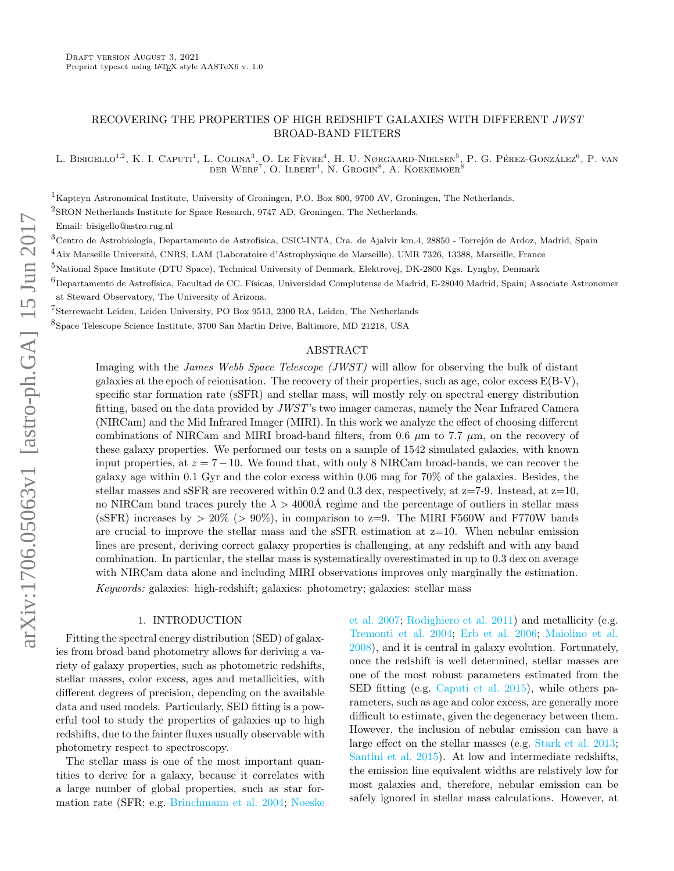# RECOVERING THE PROPERTIES OF HIGH REDSHIFT GALAXIES WITH DIFFERENT JWST BROAD-BAND FILTERS

L. Bisigello<sup>1,2</sup>, K. I. Caputi<sup>1</sup>, L. Colina<sup>3</sup>, O. Le Fèvre<sup>4</sup>, H. U. Nørgaard-Nielsen<sup>5</sup>, P. G. Pérez-González<sup>6</sup>, P. van DER WERF<sup>7</sup>, O. ILBERT<sup>4</sup>, N. GROGIN<sup>8</sup>, A. KOEKEMOER<sup>8</sup>

<sup>1</sup>Kapteyn Astronomical Institute, University of Groningen, P.O. Box 800, 9700 AV, Groningen, The Netherlands.

2 SRON Netherlands Institute for Space Research, 9747 AD, Groningen, The Netherlands.

Email: bisigello@astro.rug.nl

 $^3$ Centro de Astrobiología, Departamento de Astrofísica, CSIC-INTA, Cra. de Ajalvir km.4, 28850 - Torrejón de Ardoz, Madrid, Spain

 $^4$ Aix Marseille Université, CNRS, LAM (Laboratoire d'Astrophysique de Marseille), UMR 7326, 13388, Marseille, France

<sup>5</sup>National Space Institute (DTU Space), Technical University of Denmark, Elektrovej, DK-2800 Kgs. Lyngby, Denmark

 $^6$ Departamento de Astrofísica, Facultad de CC. Físicas, Universidad Complutense de Madrid, E-28040 Madrid, Spain; Associate Astronomer at Steward Observatory, The University of Arizona.

7 Sterrewacht Leiden, Leiden University, PO Box 9513, 2300 RA, Leiden, The Netherlands

8 Space Telescope Science Institute, 3700 San Martin Drive, Baltimore, MD 21218, USA

# ABSTRACT

Imaging with the James Webb Space Telescope (JWST) will allow for observing the bulk of distant galaxies at the epoch of reionisation. The recovery of their properties, such as age, color excess  $E(B-V)$ , specific star formation rate (sSFR) and stellar mass, will mostly rely on spectral energy distribution fitting, based on the data provided by JWST's two imager cameras, namely the Near Infrared Camera (NIRCam) and the Mid Infrared Imager (MIRI). In this work we analyze the effect of choosing different combinations of NIRCam and MIRI broad-band filters, from 0.6  $\mu$ m to 7.7  $\mu$ m, on the recovery of these galaxy properties. We performed our tests on a sample of 1542 simulated galaxies, with known input properties, at  $z = 7 - 10$ . We found that, with only 8 NIRCam broad-bands, we can recover the galaxy age within 0.1 Gyr and the color excess within 0.06 mag for 70% of the galaxies. Besides, the stellar masses and sSFR are recovered within 0.2 and 0.3 dex, respectively, at  $z=7-9$ . Instead, at  $z=10$ , no NIRCam band traces purely the  $\lambda > 4000$ Å regime and the percentage of outliers in stellar mass (sSFR) increases by  $> 20\%$  ( $> 90\%$ ), in comparison to z=9. The MIRI F560W and F770W bands are crucial to improve the stellar mass and the  $sSFR$  estimation at  $z=10$ . When nebular emission lines are present, deriving correct galaxy properties is challenging, at any redshift and with any band combination. In particular, the stellar mass is systematically overestimated in up to 0.3 dex on average with NIRCam data alone and including MIRI observations improves only marginally the estimation. Keywords: galaxies: high-redshift; galaxies: photometry; galaxies: stellar mass

## 1. INTRODUCTION

Fitting the spectral energy distribution (SED) of galaxies from broad band photometry allows for deriving a variety of galaxy properties, such as photometric redshifts, stellar masses, color excess, ages and metallicities, with different degrees of precision, depending on the available data and used models. Particularly, SED fitting is a powerful tool to study the properties of galaxies up to high redshifts, due to the fainter fluxes usually observable with photometry respect to spectroscopy.

The stellar mass is one of the most important quantities to derive for a galaxy, because it correlates with a large number of global properties, such as star formation rate (SFR; e.g. [Brinchmann et al.](#page-18-0) [2004;](#page-18-0) [Noeske](#page-18-1) [et al.](#page-18-1) [2007;](#page-18-1) [Rodighiero et al.](#page-18-2) [2011\)](#page-18-2) and metallicity (e.g. [Tremonti et al.](#page-18-3) [2004;](#page-18-3) [Erb et al.](#page-18-4) [2006;](#page-18-4) [Maiolino et al.](#page-18-5) [2008\)](#page-18-5), and it is central in galaxy evolution. Fortunately, once the redshift is well determined, stellar masses are one of the most robust parameters estimated from the SED fitting (e.g. [Caputi et al.](#page-18-6) [2015\)](#page-18-6), while others parameters, such as age and color excess, are generally more difficult to estimate, given the degeneracy between them. However, the inclusion of nebular emission can have a large effect on the stellar masses (e.g. [Stark et al.](#page-18-7) [2013;](#page-18-7) [Santini et al.](#page-18-8) [2015\)](#page-18-8). At low and intermediate redshifts, the emission line equivalent widths are relatively low for most galaxies and, therefore, nebular emission can be safely ignored in stellar mass calculations. However, at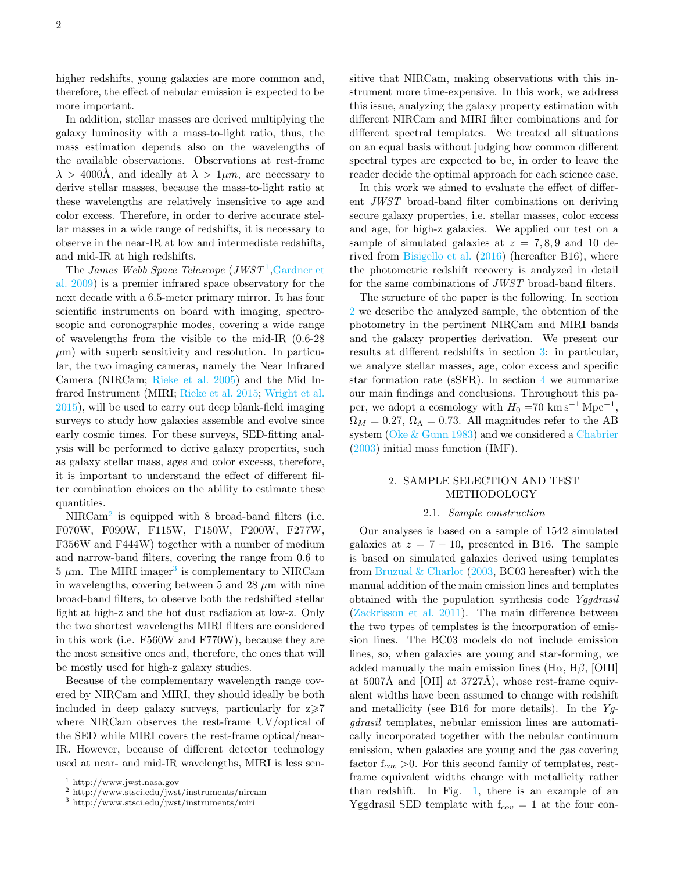higher redshifts, young galaxies are more common and, therefore, the effect of nebular emission is expected to be more important.

In addition, stellar masses are derived multiplying the galaxy luminosity with a mass-to-light ratio, thus, the mass estimation depends also on the wavelengths of the available observations. Observations at rest-frame  $\lambda > 4000$ Å, and ideally at  $\lambda > 1 \mu m$ , are necessary to derive stellar masses, because the mass-to-light ratio at these wavelengths are relatively insensitive to age and color excess. Therefore, in order to derive accurate stellar masses in a wide range of redshifts, it is necessary to observe in the near-IR at low and intermediate redshifts, and mid-IR at high redshifts.

The James Webb Space Telescope  $(JWST^1, \text{Gardner et})$  $(JWST^1, \text{Gardner et})$  $(JWST^1, \text{Gardner et})$ [al.](#page-18-9) [2009\)](#page-18-9) is a premier infrared space observatory for the next decade with a 6.5-meter primary mirror. It has four scientific instruments on board with imaging, spectroscopic and coronographic modes, covering a wide range of wavelengths from the visible to the mid-IR (0.6-28  $\mu$ m) with superb sensitivity and resolution. In particular, the two imaging cameras, namely the Near Infrared Camera (NIRCam; [Rieke et al.](#page-18-10) [2005\)](#page-18-10) and the Mid Infrared Instrument (MIRI; [Rieke et al.](#page-18-11) [2015;](#page-18-11) [Wright et al.](#page-18-12) [2015\)](#page-18-12), will be used to carry out deep blank-field imaging surveys to study how galaxies assemble and evolve since early cosmic times. For these surveys, SED-fitting analysis will be performed to derive galaxy properties, such as galaxy stellar mass, ages and color excesss, therefore, it is important to understand the effect of different filter combination choices on the ability to estimate these quantities.

NIRCam<sup>[2](#page-1-1)</sup> is equipped with 8 broad-band filters (i.e. F070W, F090W, F115W, F150W, F200W, F277W, F356W and F444W) together with a number of medium and narrow-band filters, covering the range from 0.6 to  $5 \mu$ m. The MIRI imager<sup>[3](#page-1-2)</sup> is complementary to NIRCam in wavelengths, covering between 5 and 28  $\mu$ m with nine broad-band filters, to observe both the redshifted stellar light at high-z and the hot dust radiation at low-z. Only the two shortest wavelengths MIRI filters are considered in this work (i.e. F560W and F770W), because they are the most sensitive ones and, therefore, the ones that will be mostly used for high-z galaxy studies.

Because of the complementary wavelength range covered by NIRCam and MIRI, they should ideally be both included in deep galaxy surveys, particularly for  $z \ge 7$ where NIRCam observes the rest-frame UV/optical of the SED while MIRI covers the rest-frame optical/near-IR. However, because of different detector technology used at near- and mid-IR wavelengths, MIRI is less sen-

<span id="page-1-0"></span><sup>1</sup> http://www.jwst.nasa.gov

sitive that NIRCam, making observations with this instrument more time-expensive. In this work, we address this issue, analyzing the galaxy property estimation with different NIRCam and MIRI filter combinations and for different spectral templates. We treated all situations on an equal basis without judging how common different spectral types are expected to be, in order to leave the reader decide the optimal approach for each science case.

In this work we aimed to evaluate the effect of different JWST broad-band filter combinations on deriving secure galaxy properties, i.e. stellar masses, color excess and age, for high-z galaxies. We applied our test on a sample of simulated galaxies at  $z = 7, 8, 9$  and 10 derived from [Bisigello et al.](#page-18-13) [\(2016\)](#page-18-13) (hereafter B16), where the photometric redshift recovery is analyzed in detail for the same combinations of JWST broad-band filters.

The structure of the paper is the following. In section [2](#page-1-3) we describe the analyzed sample, the obtention of the photometry in the pertinent NIRCam and MIRI bands and the galaxy properties derivation. We present our results at different redshifts in section [3:](#page-4-0) in particular, we analyze stellar masses, age, color excess and specific star formation rate (sSFR). In section [4](#page-16-0) we summarize our main findings and conclusions. Throughout this paper, we adopt a cosmology with  $H_0 = 70 \text{ km s}^{-1} \text{ Mpc}^{-1}$ ,  $\Omega_M = 0.27$ ,  $\Omega_{\Lambda} = 0.73$ . All magnitudes refer to the AB system [\(Oke & Gunn](#page-18-14) [1983\)](#page-18-14) and we considered a [Chabrier](#page-18-15) [\(2003\)](#page-18-15) initial mass function (IMF).

# <span id="page-1-3"></span>2. SAMPLE SELECTION AND TEST METHODOLOGY

## 2.1. Sample construction

Our analyses is based on a sample of 1542 simulated galaxies at  $z = 7 - 10$ , presented in B16. The sample is based on simulated galaxies derived using templates from Bruzual  $& Charlotte$  [\(2003,](#page-18-16) BC03 hereafter) with the manual addition of the main emission lines and templates obtained with the population synthesis code Yggdrasil [\(Zackrisson et al.](#page-18-17) [2011\)](#page-18-17). The main difference between the two types of templates is the incorporation of emission lines. The BC03 models do not include emission lines, so, when galaxies are young and star-forming, we added manually the main emission lines (H $\alpha$ , H $\beta$ , [OIII] at  $5007\text{\AA}$  and [OII] at  $3727\text{\AA}$ ), whose rest-frame equivalent widths have been assumed to change with redshift and metallicity (see B16 for more details). In the  $Y_g$ gdrasil templates, nebular emission lines are automatically incorporated together with the nebular continuum emission, when galaxies are young and the gas covering factor  $f_{cov} > 0$ . For this second family of templates, restframe equivalent widths change with metallicity rather than redshift. In Fig. [1,](#page-3-0) there is an example of an Yggdrasil SED template with  $f_{cov} = 1$  at the four con-

<span id="page-1-1"></span><sup>2</sup> http://www.stsci.edu/jwst/instruments/nircam

<span id="page-1-2"></span> $^3$ http://www.stsci.edu/jwst/instruments/miri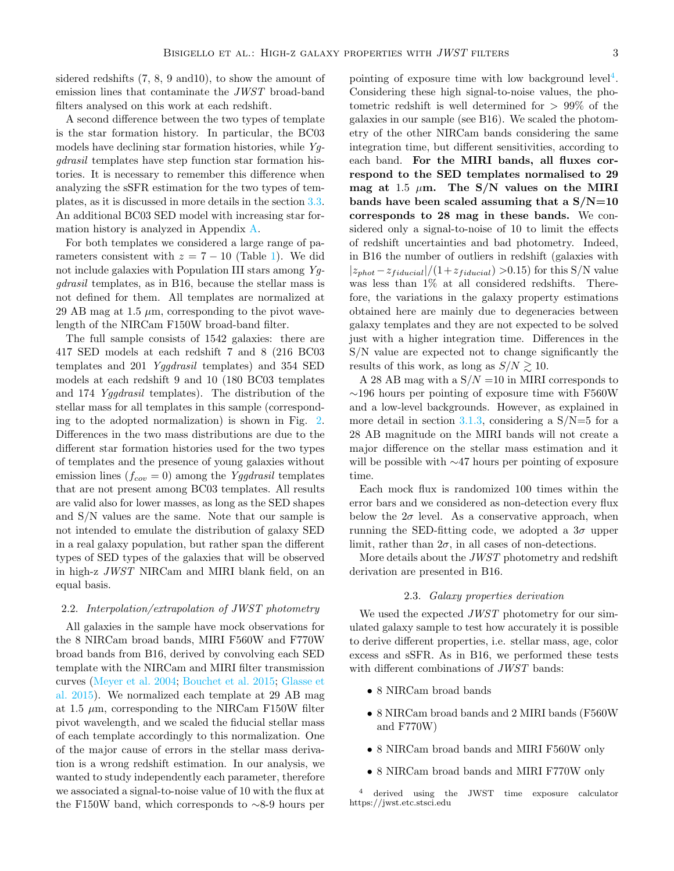sidered redshifts (7, 8, 9 and10), to show the amount of emission lines that contaminate the JWST broad-band filters analysed on this work at each redshift.

A second difference between the two types of template is the star formation history. In particular, the BC03 models have declining star formation histories, while  $Y_q$ gdrasil templates have step function star formation histories. It is necessary to remember this difference when analyzing the sSFR estimation for the two types of templates, as it is discussed in more details in the section [3.3.](#page-11-0) An additional BC03 SED model with increasing star formation history is analyzed in Appendix [A.](#page-18-18)

For both templates we considered a large range of parameters consistent with  $z = 7 - 10$  (Table [1\)](#page-4-1). We did not include galaxies with Population III stars among  $Y_q$ gdrasil templates, as in B16, because the stellar mass is not defined for them. All templates are normalized at 29 AB mag at 1.5  $\mu$ m, corresponding to the pivot wavelength of the NIRCam F150W broad-band filter.

The full sample consists of 1542 galaxies: there are 417 SED models at each redshift 7 and 8 (216 BC03 templates and 201 Yggdrasil templates) and 354 SED models at each redshift 9 and 10 (180 BC03 templates and 174 Yggdrasil templates). The distribution of the stellar mass for all templates in this sample (corresponding to the adopted normalization) is shown in Fig. [2.](#page-3-1) Differences in the two mass distributions are due to the different star formation histories used for the two types of templates and the presence of young galaxies without emission lines  $(f_{cov} = 0)$  among the Yggdrasil templates that are not present among BC03 templates. All results are valid also for lower masses, as long as the SED shapes and S/N values are the same. Note that our sample is not intended to emulate the distribution of galaxy SED in a real galaxy population, but rather span the different types of SED types of the galaxies that will be observed in high-z JWST NIRCam and MIRI blank field, on an equal basis.

### 2.2. Interpolation/extrapolation of JWST photometry

All galaxies in the sample have mock observations for the 8 NIRCam broad bands, MIRI F560W and F770W broad bands from B16, derived by convolving each SED template with the NIRCam and MIRI filter transmission curves [\(Meyer et al.](#page-18-19) [2004;](#page-18-19) [Bouchet et al.](#page-18-20) [2015;](#page-18-20) [Glasse et](#page-18-21) [al.](#page-18-21) [2015\)](#page-18-21). We normalized each template at 29 AB mag at 1.5  $\mu$ m, corresponding to the NIRCam F150W filter pivot wavelength, and we scaled the fiducial stellar mass of each template accordingly to this normalization. One of the major cause of errors in the stellar mass derivation is a wrong redshift estimation. In our analysis, we wanted to study independently each parameter, therefore we associated a signal-to-noise value of 10 with the flux at the F150W band, which corresponds to ∼8-9 hours per

pointing of exposure time with low background level<sup>[4](#page-2-0)</sup>. Considering these high signal-to-noise values, the photometric redshift is well determined for > 99% of the galaxies in our sample (see B16). We scaled the photometry of the other NIRCam bands considering the same integration time, but different sensitivities, according to each band. For the MIRI bands, all fluxes correspond to the SED templates normalised to 29 mag at 1.5  $\mu$ m. The S/N values on the MIRI bands have been scaled assuming that a  $S/N=10$ corresponds to 28 mag in these bands. We considered only a signal-to-noise of 10 to limit the effects of redshift uncertainties and bad photometry. Indeed, in B16 the number of outliers in redshift (galaxies with  $|z_{phot}-z_{fiducial}|/(1+z_{fiducial}) >0.15$  for this S/N value was less than 1% at all considered redshifts. Therefore, the variations in the galaxy property estimations obtained here are mainly due to degeneracies between galaxy templates and they are not expected to be solved just with a higher integration time. Differences in the S/N value are expected not to change significantly the results of this work, as long as  $S/N \gtrsim 10$ .

A 28 AB mag with a  $S/N = 10$  in MIRI corresponds to ∼196 hours per pointing of exposure time with F560W and a low-level backgrounds. However, as explained in more detail in section [3.1.3,](#page-6-0) considering a  $S/N=5$  for a 28 AB magnitude on the MIRI bands will not create a major difference on the stellar mass estimation and it will be possible with ∼47 hours per pointing of exposure time.

Each mock flux is randomized 100 times within the error bars and we considered as non-detection every flux below the  $2\sigma$  level. As a conservative approach, when running the SED-fitting code, we adopted a  $3\sigma$  upper limit, rather than  $2\sigma$ , in all cases of non-detections.

More details about the JWST photometry and redshift derivation are presented in B16.

### 2.3. Galaxy properties derivation

We used the expected *JWST* photometry for our simulated galaxy sample to test how accurately it is possible to derive different properties, i.e. stellar mass, age, color excess and sSFR. As in B16, we performed these tests with different combinations of  $JWST$  bands:

- 8 NIRCam broad bands
- 8 NIRCam broad bands and 2 MIRI bands (F560W and F770W)
- 8 NIRCam broad bands and MIRI F560W only
- <span id="page-2-0"></span>• 8 NIRCam broad bands and MIRI F770W only

<sup>4</sup> derived using the JWST time exposure calculator https://jwst.etc.stsci.edu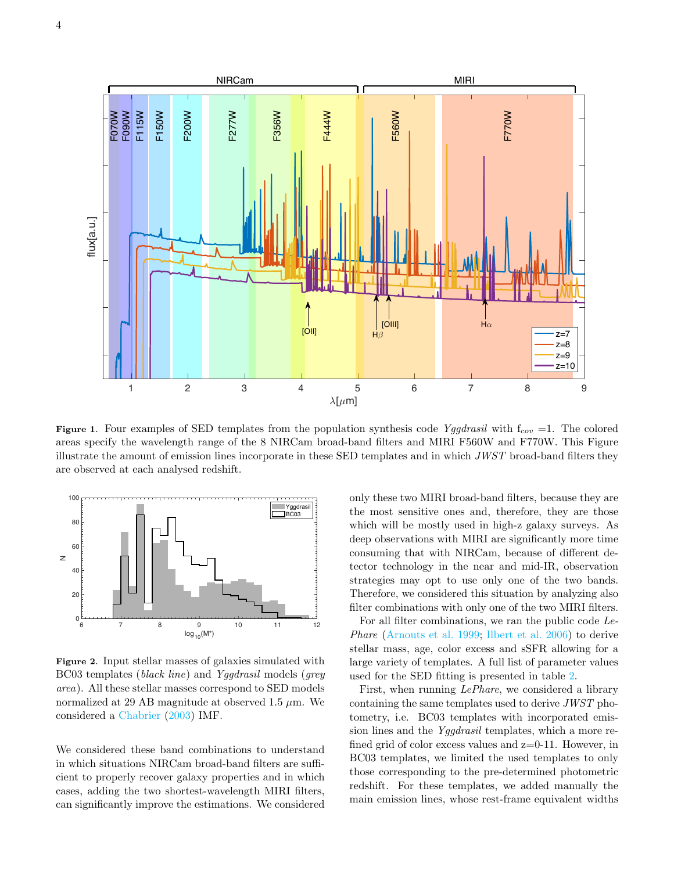

4



<span id="page-3-0"></span>Figure 1. Four examples of SED templates from the population synthesis code Yggdrasil with  $f_{cov} = 1$ . The colored areas specify the wavelength range of the 8 NIRCam broad-band filters and MIRI F560W and F770W. This Figure illustrate the amount of emission lines incorporate in these SED templates and in which JWST broad-band filters they are observed at each analysed redshift.



<span id="page-3-1"></span>Figure 2. Input stellar masses of galaxies simulated with BC03 templates (black line) and Yggdrasil models (grey area). All these stellar masses correspond to SED models normalized at 29 AB magnitude at observed 1.5  $\mu$ m. We considered a [Chabrier](#page-18-15) [\(2003\)](#page-18-15) IMF.

We considered these band combinations to understand in which situations NIRCam broad-band filters are sufficient to properly recover galaxy properties and in which cases, adding the two shortest-wavelength MIRI filters, can significantly improve the estimations. We considered

only these two MIRI broad-band filters, because they are the most sensitive ones and, therefore, they are those which will be mostly used in high-z galaxy surveys. As deep observations with MIRI are significantly more time consuming that with NIRCam, because of different detector technology in the near and mid-IR, observation strategies may opt to use only one of the two bands. Therefore, we considered this situation by analyzing also filter combinations with only one of the two MIRI filters.

For all filter combinations, we ran the public code Le-Phare [\(Arnouts et al.](#page-18-22) [1999;](#page-18-22) [Ilbert et al.](#page-18-23) [2006\)](#page-18-23) to derive stellar mass, age, color excess and sSFR allowing for a large variety of templates. A full list of parameter values used for the SED fitting is presented in table [2.](#page-5-0)

First, when running LePhare, we considered a library containing the same templates used to derive JWST photometry, i.e. BC03 templates with incorporated emission lines and the Yggdrasil templates, which a more refined grid of color excess values and  $z=0-11$ . However, in BC03 templates, we limited the used templates to only those corresponding to the pre-determined photometric redshift. For these templates, we added manually the main emission lines, whose rest-frame equivalent widths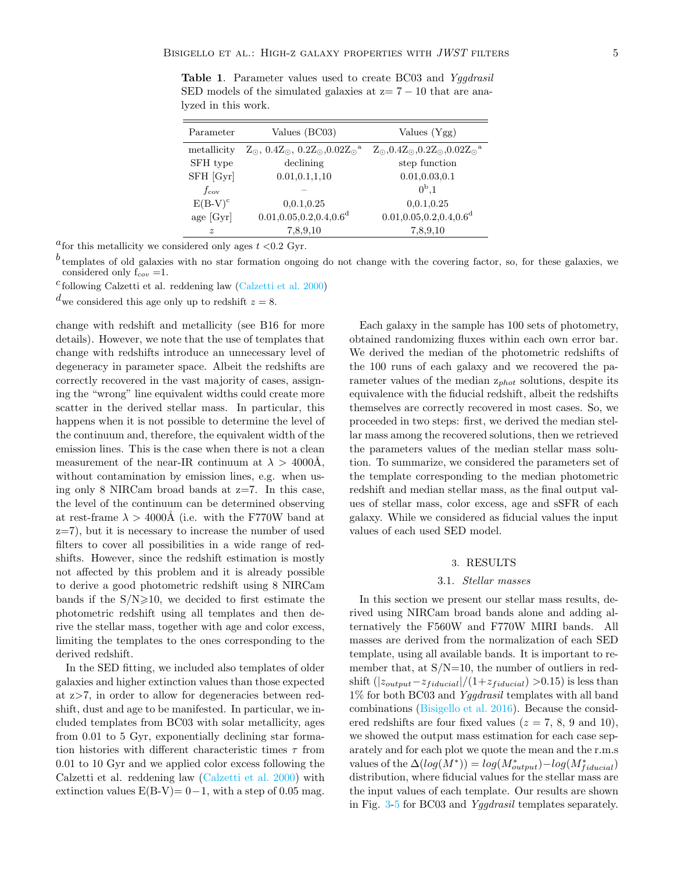<span id="page-4-1"></span>Table 1. Parameter values used to create BC03 and Yggdrasil SED models of the simulated galaxies at  $z=7-10$  that are analyzed in this work.

| Parameter     | Values (BC03)                                                                | Values $(Ygg)$                                                               |
|---------------|------------------------------------------------------------------------------|------------------------------------------------------------------------------|
| metallicity   | $Z_{\odot}$ , $0.4Z_{\odot}$ , $0.2Z_{\odot}$ , $0.02Z_{\odot}$ <sup>a</sup> | $Z_{\odot}$ , $0.4Z_{\odot}$ , $0.2Z_{\odot}$ , $0.02Z_{\odot}$ <sup>a</sup> |
| SFH type      | declining                                                                    | step function                                                                |
| SFH [Gyr]     | 0.01, 0.1, 1, 10                                                             | 0.01, 0.03, 0.1                                                              |
| $f_{\rm cov}$ |                                                                              | $0^{\rm b}.1$                                                                |
| $E(B-V)^c$    | 0,0.1,0.25                                                                   | 0,0.1,0.25                                                                   |
| age [Gyr]     | 0.01, 0.05, 0.2, 0.4, 0.6 <sup>d</sup>                                       | $0.01, 0.05, 0.2, 0.4, 0.6$ <sup>d</sup>                                     |
| $\tilde{z}$   | 7,8,9,10                                                                     | 7,8,9,10                                                                     |

<sup>a</sup> for this metallicity we considered only ages  $t < 0.2$  Gyr.

 $^b$  templates of old galaxies with no star formation ongoing do not change with the covering factor, so, for these galaxies, we considered only  $f_{cov} = 1$ .

c following Calzetti et al. reddening law [\(Calzetti et al.](#page-18-24) [2000\)](#page-18-24)

 $d_{\text{we} }$  considered this age only up to redshift  $z = 8$ .

change with redshift and metallicity (see B16 for more details). However, we note that the use of templates that change with redshifts introduce an unnecessary level of degeneracy in parameter space. Albeit the redshifts are correctly recovered in the vast majority of cases, assigning the "wrong" line equivalent widths could create more scatter in the derived stellar mass. In particular, this happens when it is not possible to determine the level of the continuum and, therefore, the equivalent width of the emission lines. This is the case when there is not a clean measurement of the near-IR continuum at  $\lambda > 4000$ Å, without contamination by emission lines, e.g. when using only 8 NIRCam broad bands at  $z=7$ . In this case, the level of the continuum can be determined observing at rest-frame  $\lambda > 4000$ Å (i.e. with the F770W band at z=7), but it is necessary to increase the number of used filters to cover all possibilities in a wide range of redshifts. However, since the redshift estimation is mostly not affected by this problem and it is already possible to derive a good photometric redshift using 8 NIRCam bands if the  $S/N \ge 10$ , we decided to first estimate the photometric redshift using all templates and then derive the stellar mass, together with age and color excess, limiting the templates to the ones corresponding to the derived redshift.

In the SED fitting, we included also templates of older galaxies and higher extinction values than those expected at z>7, in order to allow for degeneracies between redshift, dust and age to be manifested. In particular, we included templates from BC03 with solar metallicity, ages from 0.01 to 5 Gyr, exponentially declining star formation histories with different characteristic times  $\tau$  from 0.01 to 10 Gyr and we applied color excess following the Calzetti et al. reddening law [\(Calzetti et al.](#page-18-24) [2000\)](#page-18-24) with extinction values  $E(B-V)= 0-1$ , with a step of 0.05 mag.

Each galaxy in the sample has 100 sets of photometry, obtained randomizing fluxes within each own error bar. We derived the median of the photometric redshifts of the 100 runs of each galaxy and we recovered the parameter values of the median  $z_{phot}$  solutions, despite its equivalence with the fiducial redshift, albeit the redshifts themselves are correctly recovered in most cases. So, we proceeded in two steps: first, we derived the median stellar mass among the recovered solutions, then we retrieved the parameters values of the median stellar mass solution. To summarize, we considered the parameters set of the template corresponding to the median photometric redshift and median stellar mass, as the final output values of stellar mass, color excess, age and sSFR of each galaxy. While we considered as fiducial values the input values of each used SED model.

### 3. RESULTS

## 3.1. Stellar masses

<span id="page-4-0"></span>In this section we present our stellar mass results, derived using NIRCam broad bands alone and adding alternatively the F560W and F770W MIRI bands. All masses are derived from the normalization of each SED template, using all available bands. It is important to remember that, at  $S/N=10$ , the number of outliers in redshift  $(|z_{output}-z_{fiducial}|/(1+z_{fiducial}) >0.15)$  is less than 1% for both BC03 and Yggdrasil templates with all band combinations [\(Bisigello et al.](#page-18-13) [2016\)](#page-18-13). Because the considered redshifts are four fixed values ( $z = 7, 8, 9$  and 10), we showed the output mass estimation for each case separately and for each plot we quote the mean and the r.m.s values of the  $\Delta(log(M^*)) = log(M^*_{output}) - log(M^*_{fiducial})$ distribution, where fiducial values for the stellar mass are the input values of each template. Our results are shown in Fig. [3](#page-7-0)[-5](#page-10-0) for BC03 and Yggdrasil templates separately.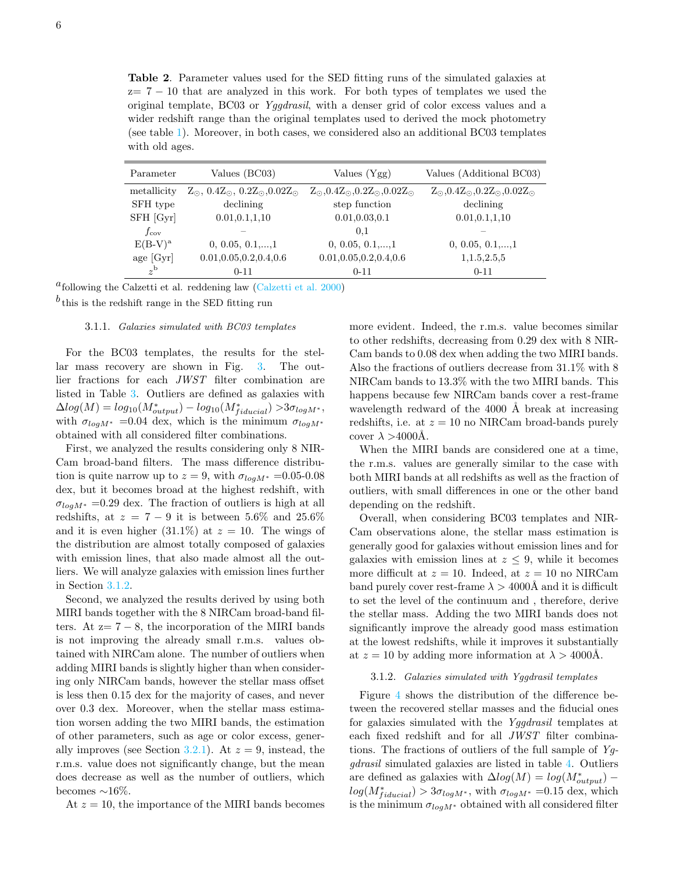<span id="page-5-0"></span>Table 2. Parameter values used for the SED fitting runs of the simulated galaxies at  $z= 7 - 10$  that are analyzed in this work. For both types of templates we used the original template, BC03 or Yggdrasil, with a denser grid of color excess values and a wider redshift range than the original templates used to derived the mock photometry (see table [1\)](#page-4-1). Moreover, in both cases, we considered also an additional BC03 templates with old ages.

| Parameter     | Values (BC03)                                                      | Values (Ygg)                                                       | Values (Additional BC03)                                        |
|---------------|--------------------------------------------------------------------|--------------------------------------------------------------------|-----------------------------------------------------------------|
| metallicity   | $Z_{\odot}$ , 0.4 $Z_{\odot}$ , 0.2 $Z_{\odot}$ , 0.02 $Z_{\odot}$ | $Z_{\odot}$ , 0.4 $Z_{\odot}$ , 0.2 $Z_{\odot}$ , 0.02 $Z_{\odot}$ | $Z_{\odot}$ , $0.4Z_{\odot}$ , $0.2Z_{\odot}$ , $0.02Z_{\odot}$ |
| SFH type      | declining                                                          | step function                                                      | declining                                                       |
| SFH [Gyr]     | 0.01, 0.1, 1, 10                                                   | 0.01, 0.03, 0.1                                                    | 0.01, 0.1, 1, 10                                                |
| $f_{\rm cov}$ |                                                                    | 0.1                                                                |                                                                 |
| $E(B-V)^a$    | $0, 0.05, 0.1, \ldots, 1$                                          | $0, 0.05, 0.1, \ldots, 1$                                          | $0, 0.05, 0.1, \ldots, 1$                                       |
| age $[Gyr]$   | 0.01, 0.05, 0.2, 0.4, 0.6                                          | 0.01, 0.05, 0.2, 0.4, 0.6                                          | 1,1.5,2.5,5                                                     |
| $z^{\rm b}$   | $0 - 11$                                                           | $0 - 11$                                                           | $0 - 11$                                                        |

a following the Calzetti et al. reddening law [\(Calzetti et al.](#page-18-24) [2000\)](#page-18-24)

 $b$  this is the redshift range in the SED fitting run

## 3.1.1. Galaxies simulated with BC03 templates

For the BC03 templates, the results for the stellar mass recovery are shown in Fig. [3.](#page-7-0) The outlier fractions for each JWST filter combination are listed in Table [3.](#page-6-1) Outliers are defined as galaxies with  $\Delta log(M) = log_{10}(M^*_{output}) - log_{10}(M^*_{fiducial}) > 3\sigma_{logM^*},$ with  $\sigma_{log M^*}$  =0.04 dex, which is the minimum  $\sigma_{log M^*}$ obtained with all considered filter combinations.

First, we analyzed the results considering only 8 NIR-Cam broad-band filters. The mass difference distribution is quite narrow up to  $z = 9$ , with  $\sigma_{log M^*} = 0.05{\text -}0.08$ dex, but it becomes broad at the highest redshift, with  $\sigma_{log M^*}$  =0.29 dex. The fraction of outliers is high at all redshifts, at  $z = 7 - 9$  it is between 5.6% and 25.6% and it is even higher  $(31.1\%)$  at  $z = 10$ . The wings of the distribution are almost totally composed of galaxies with emission lines, that also made almost all the outliers. We will analyze galaxies with emission lines further in Section [3.1.2.](#page-5-1)

Second, we analyzed the results derived by using both MIRI bands together with the 8 NIRCam broad-band filters. At  $z= 7-8$ , the incorporation of the MIRI bands is not improving the already small r.m.s. values obtained with NIRCam alone. The number of outliers when adding MIRI bands is slightly higher than when considering only NIRCam bands, however the stellar mass offset is less then 0.15 dex for the majority of cases, and never over 0.3 dex. Moreover, when the stellar mass estimation worsen adding the two MIRI bands, the estimation of other parameters, such as age or color excess, gener-ally improves (see Section [3.2.1\)](#page-8-0). At  $z = 9$ , instead, the r.m.s. value does not significantly change, but the mean does decrease as well as the number of outliers, which becomes ∼16%.

At  $z = 10$ , the importance of the MIRI bands becomes

more evident. Indeed, the r.m.s. value becomes similar to other redshifts, decreasing from 0.29 dex with 8 NIR-Cam bands to 0.08 dex when adding the two MIRI bands. Also the fractions of outliers decrease from 31.1% with 8 NIRCam bands to 13.3% with the two MIRI bands. This happens because few NIRCam bands cover a rest-frame wavelength redward of the 4000 Å break at increasing redshifts, i.e. at  $z = 10$  no NIRCam broad-bands purely cover  $\lambda > 4000$ Å.

When the MIRI bands are considered one at a time, the r.m.s. values are generally similar to the case with both MIRI bands at all redshifts as well as the fraction of outliers, with small differences in one or the other band depending on the redshift.

Overall, when considering BC03 templates and NIR-Cam observations alone, the stellar mass estimation is generally good for galaxies without emission lines and for galaxies with emission lines at  $z \leq 9$ , while it becomes more difficult at  $z = 10$ . Indeed, at  $z = 10$  no NIRCam band purely cover rest-frame  $\lambda > 4000$ Å and it is difficult to set the level of the continuum and , therefore, derive the stellar mass. Adding the two MIRI bands does not significantly improve the already good mass estimation at the lowest redshifts, while it improves it substantially at  $z = 10$  by adding more information at  $\lambda > 4000$ Å.

## 3.1.2. Galaxies simulated with Yggdrasil templates

<span id="page-5-1"></span>Figure [4](#page-9-0) shows the distribution of the difference between the recovered stellar masses and the fiducial ones for galaxies simulated with the Yggdrasil templates at each fixed redshift and for all JWST filter combinations. The fractions of outliers of the full sample of  $Y_g$ gdrasil simulated galaxies are listed in table [4.](#page-8-1) Outliers are defined as galaxies with  $\Delta log(M) = log(M^*_{output})$  $log(M^*_{fiducial}) > 3\sigma_{log M^*}$ , with  $\sigma_{log M^*}$  =0.15 dex, which is the minimum  $\sigma_{logM^*}$  obtained with all considered filter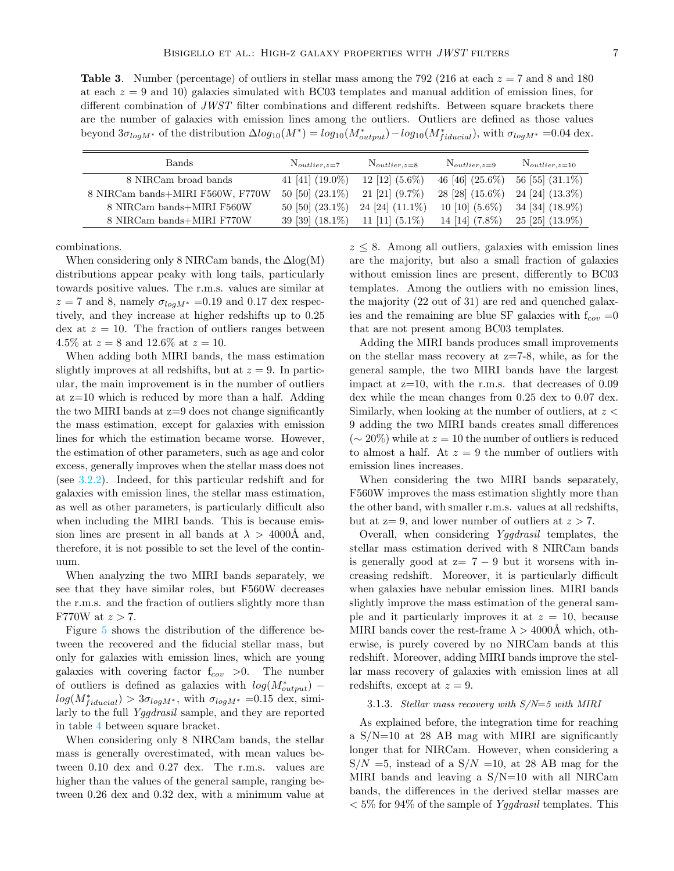<span id="page-6-1"></span>**Table 3.** Number (percentage) of outliers in stellar mass among the 792 (216 at each  $z = 7$  and 8 and 180 at each  $z = 9$  and 10) galaxies simulated with BC03 templates and manual addition of emission lines, for different combination of JWST filter combinations and different redshifts. Between square brackets there are the number of galaxies with emission lines among the outliers. Outliers are defined as those values beyond  $3\sigma_{logM^*}$  of the distribution  $\Delta log_{10}(M^*) = log_{10}(M^*_{output}) - log_{10}(M^*_{fiducial})$ , with  $\sigma_{logM^*} = 0.04$  dex.

| <b>Bands</b>                     | $N_{outlier,z=7}$  | $N_{outlier,z=8}$    | $N_{outlier,z=9}$  | $N_{outlier,z=10}$   |
|----------------------------------|--------------------|----------------------|--------------------|----------------------|
| 8 NIRCam broad bands             | 41 [41] $(19.0\%)$ | 12 [12] $(5.6\%)$    | 46 [46] $(25.6\%)$ | 56 [55] $(31.1\%)$   |
| 8 NIRCam bands+MIRI F560W, F770W | 50 [50] $(23.1\%)$ | 21 [21] $(9.7\%)$    | 28 [28] $(15.6\%)$ | 24 [24] $(13.3\%)$   |
| 8 NIRCam bands+MIRI F560W        | 50 [50] $(23.1\%)$ | $24$ [24] $(11.1\%)$ | 10 [10] $(5.6\%)$  | 34 [34] $(18.9\%)$   |
| 8 NIRCam bands+MIRI F770W        | 39 [39] $(18.1\%)$ | 11 [11] $(5.1\%)$    | 14 [14] $(7.8\%)$  | $25$ [25] $(13.9\%)$ |

combinations.

When considering only 8 NIRCam bands, the  $\Delta$ log(M) distributions appear peaky with long tails, particularly towards positive values. The r.m.s. values are similar at  $z = 7$  and 8, namely  $\sigma_{log M^*} = 0.19$  and 0.17 dex respectively, and they increase at higher redshifts up to 0.25 dex at  $z = 10$ . The fraction of outliers ranges between 4.5% at  $z = 8$  and 12.6% at  $z = 10$ .

When adding both MIRI bands, the mass estimation slightly improves at all redshifts, but at  $z = 9$ . In particular, the main improvement is in the number of outliers at z=10 which is reduced by more than a half. Adding the two MIRI bands at z=9 does not change significantly the mass estimation, except for galaxies with emission lines for which the estimation became worse. However, the estimation of other parameters, such as age and color excess, generally improves when the stellar mass does not (see [3.2.2\)](#page-8-2). Indeed, for this particular redshift and for galaxies with emission lines, the stellar mass estimation, as well as other parameters, is particularly difficult also when including the MIRI bands. This is because emission lines are present in all bands at  $\lambda > 4000$ Å and, therefore, it is not possible to set the level of the continuum.

When analyzing the two MIRI bands separately, we see that they have similar roles, but F560W decreases the r.m.s. and the fraction of outliers slightly more than F770W at  $z > 7$ .

Figure [5](#page-10-0) shows the distribution of the difference between the recovered and the fiducial stellar mass, but only for galaxies with emission lines, which are young galaxies with covering factor  $f_{cov} > 0$ . The number of outliers is defined as galaxies with  $log(M^*_{output})$  –  $log(M^*_{fiducial}) > 3\sigma_{log M^*}$ , with  $\sigma_{log M^*}$  =0.15 dex, similarly to the full Yggdrasil sample, and they are reported in table [4](#page-8-1) between square bracket.

When considering only 8 NIRCam bands, the stellar mass is generally overestimated, with mean values between 0.10 dex and 0.27 dex. The r.m.s. values are higher than the values of the general sample, ranging between 0.26 dex and 0.32 dex, with a minimum value at

 $z \leq 8$ . Among all outliers, galaxies with emission lines are the majority, but also a small fraction of galaxies without emission lines are present, differently to BC03 templates. Among the outliers with no emission lines, the majority (22 out of 31) are red and quenched galaxies and the remaining are blue SF galaxies with  $f_{cov} = 0$ that are not present among BC03 templates.

Adding the MIRI bands produces small improvements on the stellar mass recovery at z=7-8, while, as for the general sample, the two MIRI bands have the largest impact at  $z=10$ , with the r.m.s. that decreases of 0.09 dex while the mean changes from 0.25 dex to 0.07 dex. Similarly, when looking at the number of outliers, at  $z <$ 9 adding the two MIRI bands creates small differences  $({\sim} 20\%)$  while at  $z = 10$  the number of outliers is reduced to almost a half. At  $z = 9$  the number of outliers with emission lines increases.

When considering the two MIRI bands separately, F560W improves the mass estimation slightly more than the other band, with smaller r.m.s. values at all redshifts, but at  $z=9$ , and lower number of outliers at  $z > 7$ .

Overall, when considering Yggdrasil templates, the stellar mass estimation derived with 8 NIRCam bands is generally good at  $z= 7-9$  but it worsens with increasing redshift. Moreover, it is particularly difficult when galaxies have nebular emission lines. MIRI bands slightly improve the mass estimation of the general sample and it particularly improves it at  $z = 10$ , because MIRI bands cover the rest-frame  $\lambda > 4000$ Å which, otherwise, is purely covered by no NIRCam bands at this redshift. Moreover, adding MIRI bands improve the stellar mass recovery of galaxies with emission lines at all redshifts, except at  $z = 9$ .

#### <span id="page-6-0"></span>3.1.3. Stellar mass recovery with  $S/N=5$  with MIRI

As explained before, the integration time for reaching a S/N=10 at 28 AB mag with MIRI are significantly longer that for NIRCam. However, when considering a  $S/N = 5$ , instead of a  $S/N = 10$ , at 28 AB mag for the MIRI bands and leaving a S/N=10 with all NIRCam bands, the differences in the derived stellar masses are  $<$  5% for 94% of the sample of Yggdrasil templates. This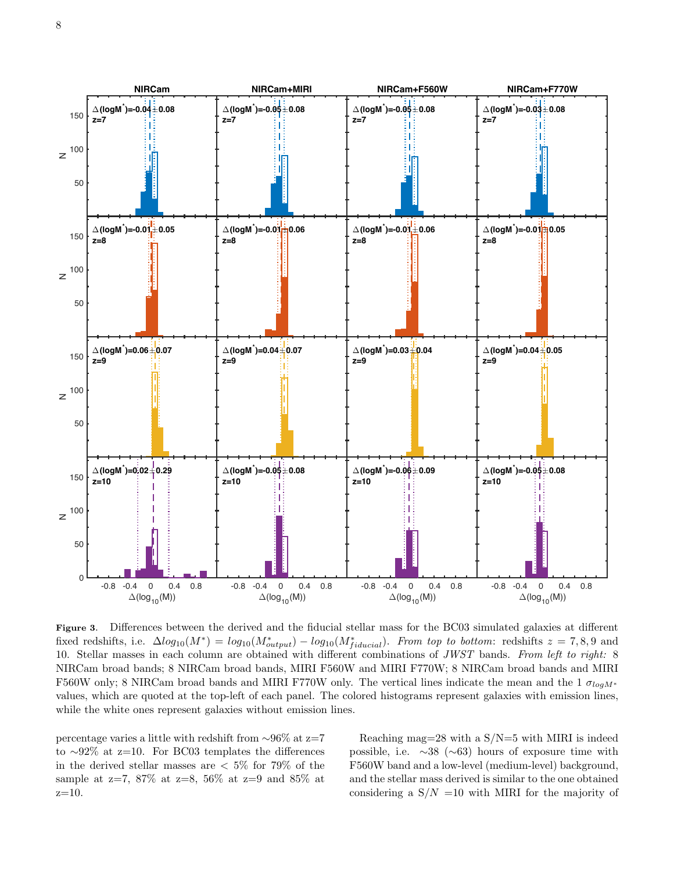

<span id="page-7-0"></span>Figure 3. Differences between the derived and the fiducial stellar mass for the BC03 simulated galaxies at different fixed redshifts, i.e.  $\Delta log_{10}(M^*) = log_{10}(M^*_{output}) - log_{10}(M^*_{fiducial})$ . From top to bottom: redshifts  $z = 7,8,9$  and 10. Stellar masses in each column are obtained with different combinations of JWST bands. From left to right: 8 NIRCam broad bands; 8 NIRCam broad bands, MIRI F560W and MIRI F770W; 8 NIRCam broad bands and MIRI F560W only; 8 NIRCam broad bands and MIRI F770W only. The vertical lines indicate the mean and the 1  $\sigma_{log M*}$ values, which are quoted at the top-left of each panel. The colored histograms represent galaxies with emission lines, while the white ones represent galaxies without emission lines.

percentage varies a little with redshift from ∼96% at z=7 to ∼92% at z=10. For BC03 templates the differences in the derived stellar masses are  $\langle 5\%$  for 79% of the sample at z=7, 87% at z=8, 56% at z=9 and 85% at  $z=10$ .

Reaching mag=28 with a  $S/N=5$  with MIRI is indeed possible, i.e.  $\sim$ 38 ( $\sim$ 63) hours of exposure time with F560W band and a low-level (medium-level) background, and the stellar mass derived is similar to the one obtained considering a  $S/N = 10$  with MIRI for the majority of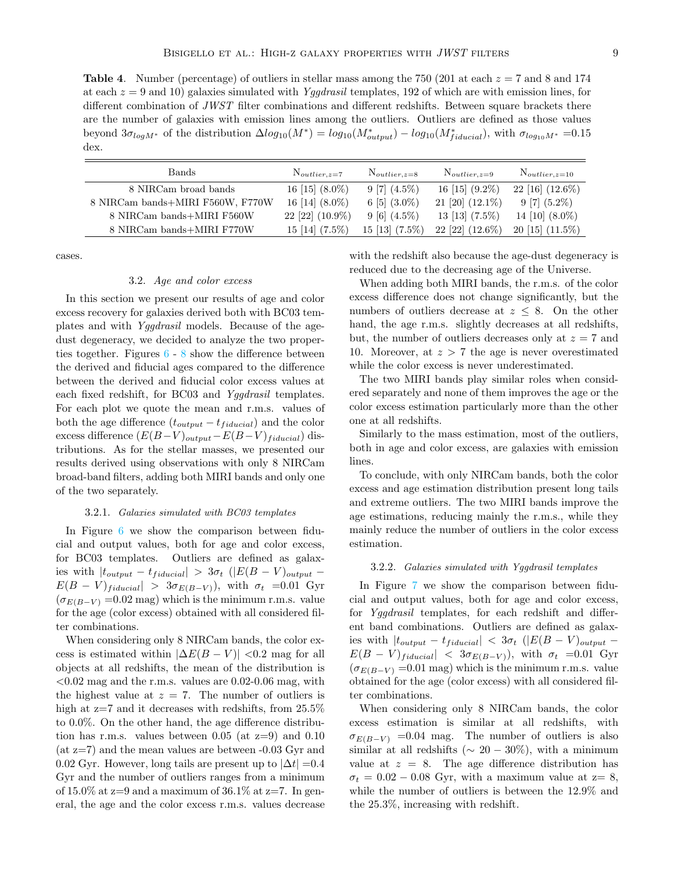<span id="page-8-1"></span>**Table 4.** Number (percentage) of outliers in stellar mass among the 750 (201 at each  $z = 7$  and 8 and 174 at each  $z = 9$  and 10) galaxies simulated with Yggdrasil templates, 192 of which are with emission lines, for different combination of JWST filter combinations and different redshifts. Between square brackets there are the number of galaxies with emission lines among the outliers. Outliers are defined as those values beyond  $3\sigma_{logM^*}$  of the distribution  $\Delta log_{10}(M^*) = log_{10}(M^*_{output}) - log_{10}(M^*_{fiducial})$ , with  $\sigma_{log_{10}M^*} = 0.15$ dex.

| <b>Bands</b>                     | $N_{outlier,z=7}$    | $N_{outlier,z=8}$       | $N_{outlier,z=9}$    | $N_{outlier,z=10}$   |
|----------------------------------|----------------------|-------------------------|----------------------|----------------------|
| 8 NIRCam broad bands             | 16 [15] $(8.0\%)$    | $9 [7] (4.5\%)$         | 16 [15] $(9.2\%)$    | $22$ [16] $(12.6\%)$ |
| 8 NIRCam bands+MIRI F560W, F770W | 16 [14] $(8.0\%)$    | 6 [5] $(3.0\%)$         | $21$ [20] $(12.1\%)$ | $9 [7] (5.2\%)$      |
| 8 NIRCam bands+MIRI F560W        | $22$ [22] $(10.9\%)$ | $9[6](4.5\%)$           | 13 [13] $(7.5\%)$    | 14 [10] $(8.0\%)$    |
| 8 NIRCam bands+MIRI F770W        | $15$ [14] $(7.5\%)$  | $15 \; [13] \; (7.5\%)$ | $22$ [22] $(12.6\%)$ | $20$ [15] $(11.5\%)$ |

cases.

#### 3.2. Age and color excess

In this section we present our results of age and color excess recovery for galaxies derived both with BC03 templates and with Yggdrasil models. Because of the agedust degeneracy, we decided to analyze the two properties together. Figures  $6 - 8$  $6 - 8$  $6 - 8$  show the difference between the derived and fiducial ages compared to the difference between the derived and fiducial color excess values at each fixed redshift, for BC03 and Yggdrasil templates. For each plot we quote the mean and r.m.s. values of both the age difference  $(t_{output} - t_{fiducial})$  and the color excess difference  $(E(B-V)_{output}-E(B-V)_{fiducial})$  distributions. As for the stellar masses, we presented our results derived using observations with only 8 NIRCam broad-band filters, adding both MIRI bands and only one of the two separately.

#### 3.2.1. Galaxies simulated with BC03 templates

<span id="page-8-0"></span>In Figure [6](#page-11-1) we show the comparison between fiducial and output values, both for age and color excess, for BC03 templates. Outliers are defined as galaxies with  $|t_{output} - t_{fiducial}| > 3\sigma_t$  ( $|E(B - V)_{output}$  –  $E(B - V)_{fiducial}$  >  $3\sigma_{E(B-V)}$ , with  $\sigma_t$  =0.01 Gyr  $(\sigma_{E(B-V)} = 0.02$  mag) which is the minimum r.m.s. value for the age (color excess) obtained with all considered filter combinations.

When considering only 8 NIRCam bands, the color excess is estimated within  $|\Delta E(B - V)| < 0.2$  mag for all objects at all redshifts, the mean of the distribution is  $< 0.02$  mag and the r.m.s. values are 0.02-0.06 mag, with the highest value at  $z = 7$ . The number of outliers is high at  $z=7$  and it decreases with redshifts, from  $25.5\%$ to 0.0%. On the other hand, the age difference distribution has r.m.s. values between  $0.05$  (at  $z=9$ ) and  $0.10$  $(at z=7)$  and the mean values are between  $-0.03$  Gyr and 0.02 Gyr. However, long tails are present up to  $|\Delta t|$  =0.4 Gyr and the number of outliers ranges from a minimum of 15.0% at  $z=9$  and a maximum of 36.1% at  $z=7$ . In general, the age and the color excess r.m.s. values decrease with the redshift also because the age-dust degeneracy is reduced due to the decreasing age of the Universe.

When adding both MIRI bands, the r.m.s. of the color excess difference does not change significantly, but the numbers of outliers decrease at  $z \leq 8$ . On the other hand, the age r.m.s. slightly decreases at all redshifts, but, the number of outliers decreases only at  $z = 7$  and 10. Moreover, at  $z > 7$  the age is never overestimated while the color excess is never underestimated.

The two MIRI bands play similar roles when considered separately and none of them improves the age or the color excess estimation particularly more than the other one at all redshifts.

Similarly to the mass estimation, most of the outliers, both in age and color excess, are galaxies with emission lines.

To conclude, with only NIRCam bands, both the color excess and age estimation distribution present long tails and extreme outliers. The two MIRI bands improve the age estimations, reducing mainly the r.m.s., while they mainly reduce the number of outliers in the color excess estimation.

#### <span id="page-8-2"></span>3.2.2. Galaxies simulated with Yggdrasil templates

In Figure [7](#page-12-0) we show the comparison between fiducial and output values, both for age and color excess, for Yggdrasil templates, for each redshift and different band combinations. Outliers are defined as galaxies with  $|t_{output} - t_{fiducial}| < 3\sigma_t$  ( $|E(B - V)_{output}$  –  $E(B - V)_{fiducial}$  <  $3\sigma_{E(B-V)}$ , with  $\sigma_t$  =0.01 Gyr  $(\sigma_{E(B-V)} = 0.01$  mag) which is the minimum r.m.s. value obtained for the age (color excess) with all considered filter combinations.

When considering only 8 NIRCam bands, the color excess estimation is similar at all redshifts, with  $\sigma_{E(B-V)}$  =0.04 mag. The number of outliers is also similar at all redshifts ( $\sim 20 - 30\%$ ), with a minimum value at  $z = 8$ . The age difference distribution has  $\sigma_t = 0.02 - 0.08$  Gyr, with a maximum value at z= 8, while the number of outliers is between the 12.9% and the 25.3%, increasing with redshift.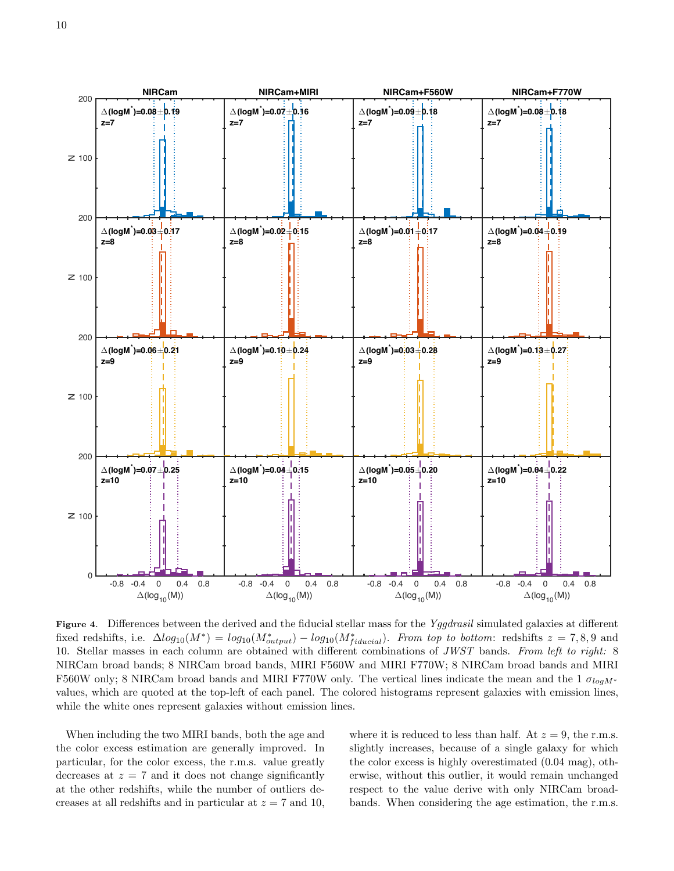

<span id="page-9-0"></span>Figure 4. Differences between the derived and the fiducial stellar mass for the Yggdrasil simulated galaxies at different fixed redshifts, i.e.  $\Delta log_{10}(M^*) = log_{10}(M^*_{output}) - log_{10}(M^*_{fiducial})$ . From top to bottom: redshifts  $z = 7,8,9$  and 10. Stellar masses in each column are obtained with different combinations of JWST bands. From left to right: 8 NIRCam broad bands; 8 NIRCam broad bands, MIRI F560W and MIRI F770W; 8 NIRCam broad bands and MIRI F560W only; 8 NIRCam broad bands and MIRI F770W only. The vertical lines indicate the mean and the 1  $\sigma_{log M*}$ values, which are quoted at the top-left of each panel. The colored histograms represent galaxies with emission lines, while the white ones represent galaxies without emission lines.

When including the two MIRI bands, both the age and the color excess estimation are generally improved. In particular, for the color excess, the r.m.s. value greatly decreases at  $z = 7$  and it does not change significantly at the other redshifts, while the number of outliers decreases at all redshifts and in particular at  $z = 7$  and 10, where it is reduced to less than half. At  $z = 9$ , the r.m.s. slightly increases, because of a single galaxy for which the color excess is highly overestimated (0.04 mag), otherwise, without this outlier, it would remain unchanged respect to the value derive with only NIRCam broadbands. When considering the age estimation, the r.m.s.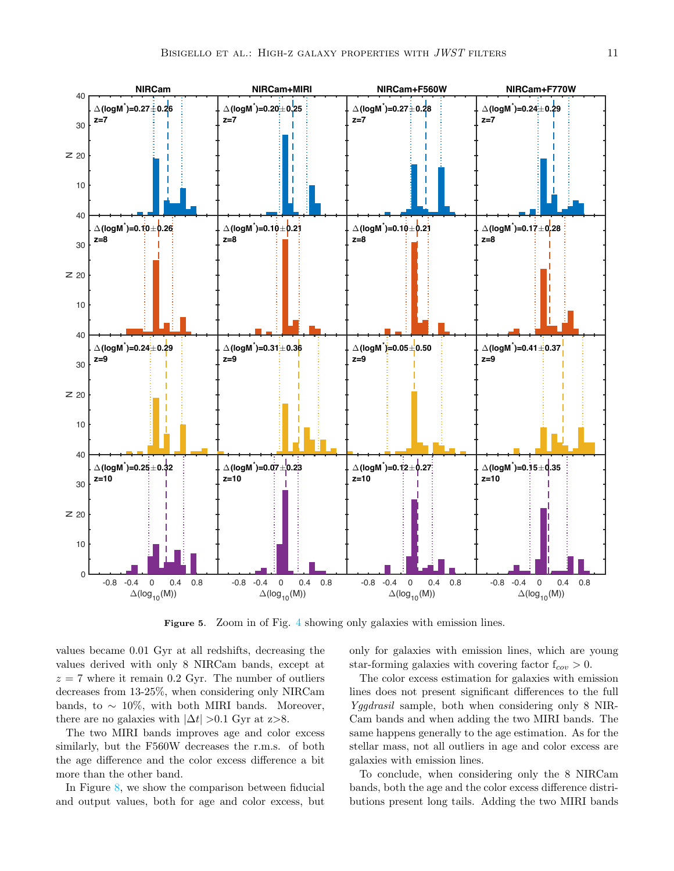

<span id="page-10-0"></span>Figure 5. Zoom in of Fig. [4](#page-9-0) showing only galaxies with emission lines.

values became 0.01 Gyr at all redshifts, decreasing the values derived with only 8 NIRCam bands, except at  $z = 7$  where it remain 0.2 Gyr. The number of outliers decreases from 13-25%, when considering only NIRCam bands, to  $\sim 10\%$ , with both MIRI bands. Moreover, there are no galaxies with  $|\Delta t| > 0.1$  Gyr at z>8.

The two MIRI bands improves age and color excess similarly, but the F560W decreases the r.m.s. of both the age difference and the color excess difference a bit more than the other band.

In Figure [8,](#page-13-0) we show the comparison between fiducial and output values, both for age and color excess, but

only for galaxies with emission lines, which are young star-forming galaxies with covering factor  $f_{cov} > 0$ .

The color excess estimation for galaxies with emission lines does not present significant differences to the full Yggdrasil sample, both when considering only 8 NIR-Cam bands and when adding the two MIRI bands. The same happens generally to the age estimation. As for the stellar mass, not all outliers in age and color excess are galaxies with emission lines.

To conclude, when considering only the 8 NIRCam bands, both the age and the color excess difference distributions present long tails. Adding the two MIRI bands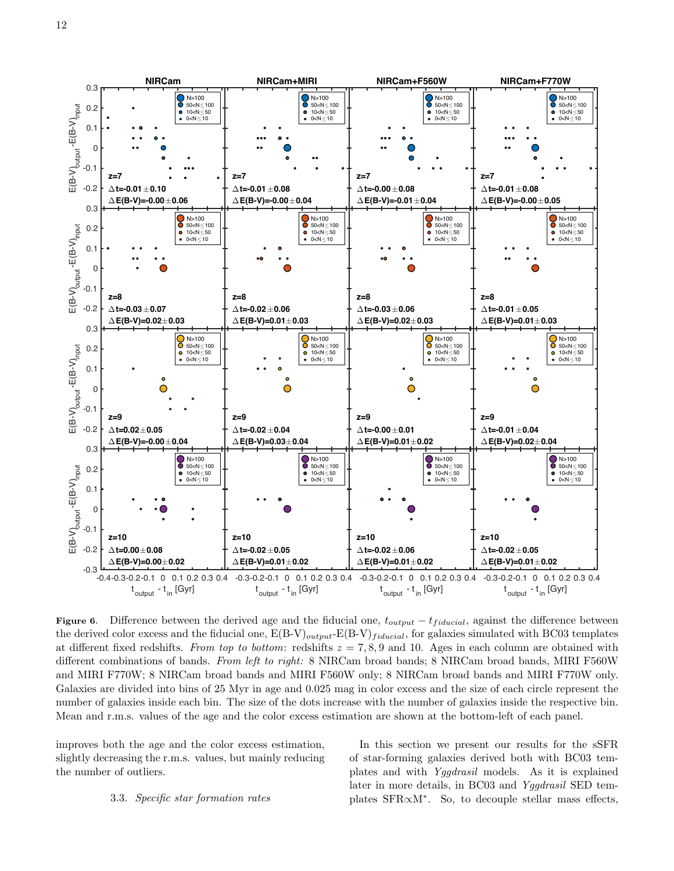

<span id="page-11-1"></span>Figure 6. Difference between the derived age and the fiducial one,  $t_{output} - t_{fiducial}$ , against the difference between the derived color excess and the fiducial one,  $E(B-V)_{output}E(B-V)_{fiducial}$ , for galaxies simulated with BC03 templates at different fixed redshifts. From top to bottom: redshifts  $z = 7, 8, 9$  and 10. Ages in each column are obtained with different combinations of bands. From left to right: 8 NIRCam broad bands; 8 NIRCam broad bands, MIRI F560W and MIRI F770W; 8 NIRCam broad bands and MIRI F560W only; 8 NIRCam broad bands and MIRI F770W only. Galaxies are divided into bins of 25 Myr in age and 0.025 mag in color excess and the size of each circle represent the number of galaxies inside each bin. The size of the dots increase with the number of galaxies inside the respective bin. Mean and r.m.s. values of the age and the color excess estimation are shown at the bottom-left of each panel.

<span id="page-11-0"></span>improves both the age and the color excess estimation, slightly decreasing the r.m.s. values, but mainly reducing the number of outliers.

## 3.3. Specific star formation rates

In this section we present our results for the sSFR of star-forming galaxies derived both with BC03 templates and with Yggdrasil models. As it is explained later in more details, in BC03 and Yggdrasil SED templates SFR∝M<sup>∗</sup> . So, to decouple stellar mass effects,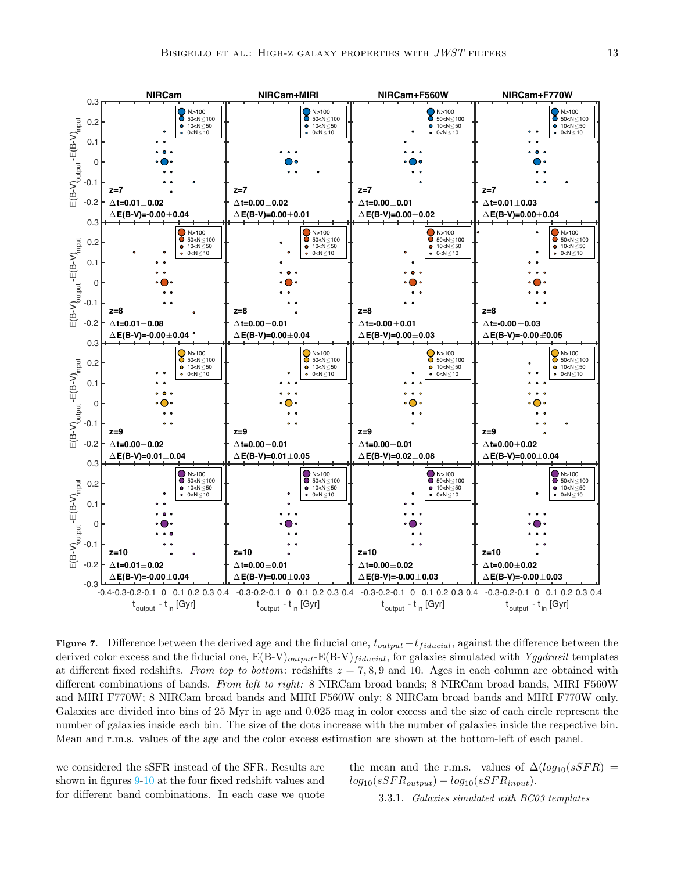

<span id="page-12-0"></span>Figure 7. Difference between the derived age and the fiducial one,  $t_{output}-t_{fiducial}$ , against the difference between the derived color excess and the fiducial one,  $E(B-V)_{output}E(B-V)_{fiducial}$ , for galaxies simulated with Yggdrasil templates at different fixed redshifts. From top to bottom: redshifts  $z = 7, 8, 9$  and 10. Ages in each column are obtained with different combinations of bands. From left to right: 8 NIRCam broad bands; 8 NIRCam broad bands, MIRI F560W and MIRI F770W; 8 NIRCam broad bands and MIRI F560W only; 8 NIRCam broad bands and MIRI F770W only. Galaxies are divided into bins of 25 Myr in age and 0.025 mag in color excess and the size of each circle represent the number of galaxies inside each bin. The size of the dots increase with the number of galaxies inside the respective bin. Mean and r.m.s. values of the age and the color excess estimation are shown at the bottom-left of each panel.

we considered the sSFR instead of the SFR. Results are shown in figures [9](#page-15-0)[-10](#page-17-0) at the four fixed redshift values and for different band combinations. In each case we quote the mean and the r.m.s. values of  $\Delta(log_{10}(sSFR))$  =  $log_{10}(sSFR_{output}) - log_{10}(sSFR_{input}).$ 

3.3.1. Galaxies simulated with BC03 templates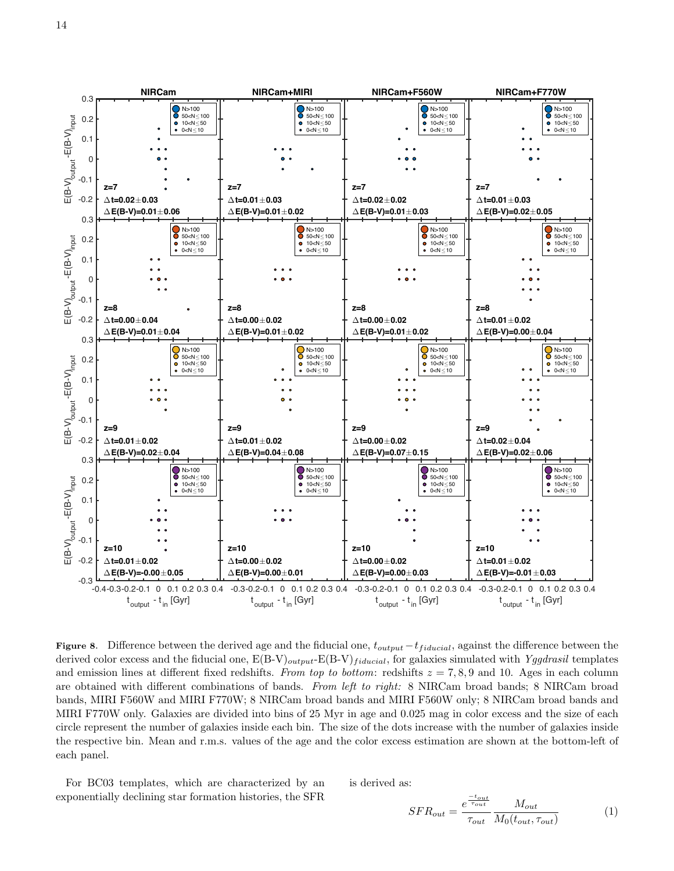

<span id="page-13-0"></span>Figure 8. Difference between the derived age and the fiducial one,  $t_{output}-t_{fiducial}$ , against the difference between the derived color excess and the fiducial one,  $E(B-V)_{output}E(B-V)_{fiducial}$ , for galaxies simulated with Yggdrasil templates and emission lines at different fixed redshifts. From top to bottom: redshifts  $z = 7, 8, 9$  and 10. Ages in each column are obtained with different combinations of bands. From left to right: 8 NIRCam broad bands; 8 NIRCam broad bands, MIRI F560W and MIRI F770W; 8 NIRCam broad bands and MIRI F560W only; 8 NIRCam broad bands and MIRI F770W only. Galaxies are divided into bins of 25 Myr in age and 0.025 mag in color excess and the size of each circle represent the number of galaxies inside each bin. The size of the dots increase with the number of galaxies inside the respective bin. Mean and r.m.s. values of the age and the color excess estimation are shown at the bottom-left of each panel.

For BC03 templates, which are characterized by an exponentially declining star formation histories, the SFR

is derived as:

$$
SFR_{out} = \frac{e^{\frac{-t_{out}}{\tau_{out}}}}{\tau_{out}} \frac{M_{out}}{M_0(t_{out}, \tau_{out})}
$$
(1)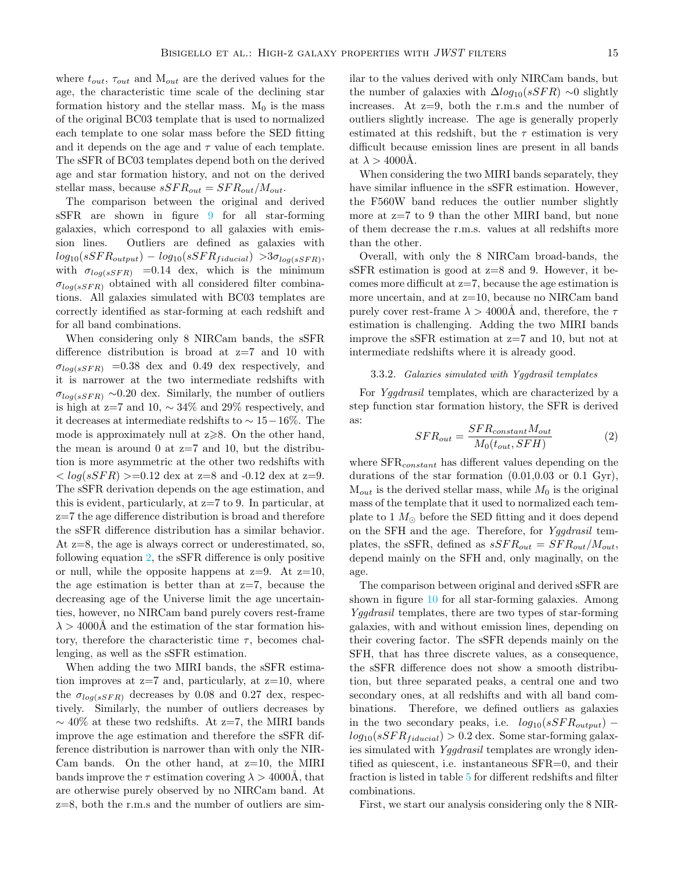where  $t_{out}$ ,  $\tau_{out}$  and  $M_{out}$  are the derived values for the age, the characteristic time scale of the declining star formation history and the stellar mass.  $M_0$  is the mass of the original BC03 template that is used to normalized each template to one solar mass before the SED fitting and it depends on the age and  $\tau$  value of each template. The sSFR of BC03 templates depend both on the derived age and star formation history, and not on the derived stellar mass, because  $sSFR_{out} = SFR_{out}/M_{out}$ .

The comparison between the original and derived sSFR are shown in figure [9](#page-15-0) for all star-forming galaxies, which correspond to all galaxies with emission lines. Outliers are defined as galaxies with  $log_{10}(sSFR_{output}) - log_{10}(sSFR_{fiducial}) > 3\sigma_{log(sSFR)},$ with  $\sigma_{log(sSFR)}$  =0.14 dex, which is the minimum  $\sigma_{log(sSFR)}$  obtained with all considered filter combinations. All galaxies simulated with BC03 templates are correctly identified as star-forming at each redshift and for all band combinations.

When considering only 8 NIRCam bands, the sSFR difference distribution is broad at z=7 and 10 with  $\sigma_{log(sSFR)}$  =0.38 dex and 0.49 dex respectively, and it is narrower at the two intermediate redshifts with  $\sigma_{log(sSFR)} \sim 0.20$  dex. Similarly, the number of outliers is high at z=7 and 10,  $\sim$  34% and 29% respectively, and it decreases at intermediate redshifts to ∼ 15−16%. The mode is approximately null at  $z \ge 8$ . On the other hand, the mean is around 0 at  $z=7$  and 10, but the distribution is more asymmetric at the other two redshifts with  $\langle \log(sSFR) \rangle = 0.12$  dex at z=8 and -0.12 dex at z=9. The sSFR derivation depends on the age estimation, and this is evident, particularly, at z=7 to 9. In particular, at z=7 the age difference distribution is broad and therefore the sSFR difference distribution has a similar behavior. At z=8, the age is always correct or underestimated, so, following equation [2,](#page-14-0) the sSFR difference is only positive or null, while the opposite happens at  $z=9$ . At  $z=10$ , the age estimation is better than at  $z=7$ , because the decreasing age of the Universe limit the age uncertainties, however, no NIRCam band purely covers rest-frame  $\lambda > 4000$ Å and the estimation of the star formation history, therefore the characteristic time  $\tau$ , becomes challenging, as well as the sSFR estimation.

When adding the two MIRI bands, the sSFR estimation improves at  $z=7$  and, particularly, at  $z=10$ , where the  $\sigma_{log(sSFR)}$  decreases by 0.08 and 0.27 dex, respectively. Similarly, the number of outliers decreases by  $\sim$  40% at these two redshifts. At z=7, the MIRI bands improve the age estimation and therefore the sSFR difference distribution is narrower than with only the NIR-Cam bands. On the other hand, at  $z=10$ , the MIRI bands improve the  $\tau$  estimation covering  $\lambda > 4000$ Å, that are otherwise purely observed by no NIRCam band. At z=8, both the r.m.s and the number of outliers are sim-

ilar to the values derived with only NIRCam bands, but the number of galaxies with  $\Delta log_{10}(sSFR) \sim 0$  slightly increases. At  $z=9$ , both the r.m.s and the number of outliers slightly increase. The age is generally properly estimated at this redshift, but the  $\tau$  estimation is very difficult because emission lines are present in all bands at  $\lambda > 4000$ Å.

When considering the two MIRI bands separately, they have similar influence in the sSFR estimation. However, the F560W band reduces the outlier number slightly more at z=7 to 9 than the other MIRI band, but none of them decrease the r.m.s. values at all redshifts more than the other.

Overall, with only the 8 NIRCam broad-bands, the sSFR estimation is good at z=8 and 9. However, it becomes more difficult at  $z=7$ , because the age estimation is more uncertain, and at z=10, because no NIRCam band purely cover rest-frame  $\lambda > 4000$ Å and, therefore, the  $\tau$ estimation is challenging. Adding the two MIRI bands improve the sSFR estimation at  $z=7$  and 10, but not at intermediate redshifts where it is already good.

## 3.3.2. Galaxies simulated with Yggdrasil templates

For Yggdrasil templates, which are characterized by a step function star formation history, the SFR is derived as:

<span id="page-14-0"></span>
$$
SFR_{out} = \frac{SFR_{constant}M_{out}}{M_0(t_{out}, SFH)}
$$
 (2)

where  $SFR_{constant}$  has different values depending on the durations of the star formation (0.01,0.03 or 0.1 Gyr),  $M_{out}$  is the derived stellar mass, while  $M_0$  is the original mass of the template that it used to normalized each template to 1  $M_{\odot}$  before the SED fitting and it does depend on the SFH and the age. Therefore, for Yggdrasil templates, the sSFR, defined as  $sSFR_{out} = SFR_{out}/M_{out}$ , depend mainly on the SFH and, only maginally, on the age.

The comparison between original and derived sSFR are shown in figure [10](#page-17-0) for all star-forming galaxies. Among Yggdrasil templates, there are two types of star-forming galaxies, with and without emission lines, depending on their covering factor. The sSFR depends mainly on the SFH, that has three discrete values, as a consequence, the sSFR difference does not show a smooth distribution, but three separated peaks, a central one and two secondary ones, at all redshifts and with all band combinations. Therefore, we defined outliers as galaxies in the two secondary peaks, i.e.  $log_{10}(sSFR_{output})$  –  $log_{10}(sSFR_{fiducial}) > 0.2$  dex. Some star-forming galaxies simulated with Yggdrasil templates are wrongly identified as quiescent, i.e. instantaneous SFR=0, and their fraction is listed in table [5](#page-18-25) for different redshifts and filter combinations.

First, we start our analysis considering only the 8 NIR-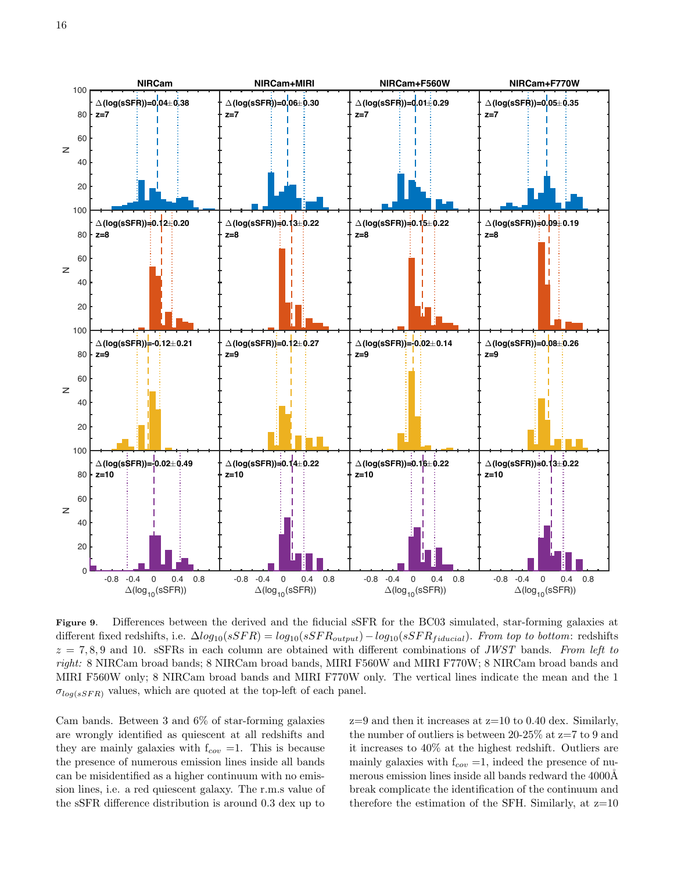

<span id="page-15-0"></span>Figure 9. Differences between the derived and the fiducial sSFR for the BC03 simulated, star-forming galaxies at different fixed redshifts, i.e.  $\Delta log_{10}(sSFR) = log_{10}(sSFR_{output}) - log_{10}(sSFR_{fiducial})$ . From top to bottom: redshifts  $z = 7, 8, 9$  and 10. sSFRs in each column are obtained with different combinations of JWST bands. From left to right: 8 NIRCam broad bands; 8 NIRCam broad bands, MIRI F560W and MIRI F770W; 8 NIRCam broad bands and MIRI F560W only; 8 NIRCam broad bands and MIRI F770W only. The vertical lines indicate the mean and the 1  $\sigma_{log(sSFR)}$  values, which are quoted at the top-left of each panel.

Cam bands. Between 3 and 6% of star-forming galaxies are wrongly identified as quiescent at all redshifts and they are mainly galaxies with  $f_{cov} = 1$ . This is because the presence of numerous emission lines inside all bands can be misidentified as a higher continuum with no emission lines, i.e. a red quiescent galaxy. The r.m.s value of the sSFR difference distribution is around 0.3 dex up to

 $z=9$  and then it increases at  $z=10$  to 0.40 dex. Similarly, the number of outliers is between  $20-25\%$  at  $z=7$  to 9 and it increases to 40% at the highest redshift. Outliers are mainly galaxies with  $f_{cov} = 1$ , indeed the presence of numerous emission lines inside all bands redward the 4000Å break complicate the identification of the continuum and therefore the estimation of the SFH. Similarly, at  $z=10$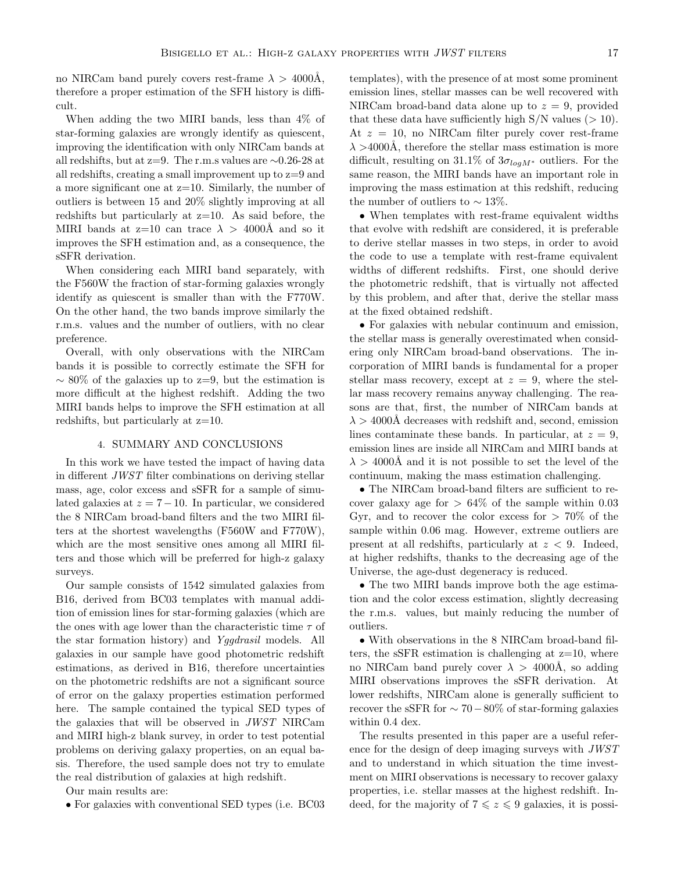no NIRCam band purely covers rest-frame  $\lambda > 4000$ Å, therefore a proper estimation of the SFH history is difficult.

When adding the two MIRI bands, less than 4% of star-forming galaxies are wrongly identify as quiescent, improving the identification with only NIRCam bands at all redshifts, but at z=9. The r.m.s values are ∼0.26-28 at all redshifts, creating a small improvement up to z=9 and a more significant one at z=10. Similarly, the number of outliers is between 15 and 20% slightly improving at all redshifts but particularly at  $z=10$ . As said before, the MIRI bands at  $z=10$  can trace  $\lambda > 4000$ Å and so it improves the SFH estimation and, as a consequence, the sSFR derivation.

When considering each MIRI band separately, with the F560W the fraction of star-forming galaxies wrongly identify as quiescent is smaller than with the F770W. On the other hand, the two bands improve similarly the r.m.s. values and the number of outliers, with no clear preference.

Overall, with only observations with the NIRCam bands it is possible to correctly estimate the SFH for  $\sim 80\%$  of the galaxies up to z=9, but the estimation is more difficult at the highest redshift. Adding the two MIRI bands helps to improve the SFH estimation at all redshifts, but particularly at z=10.

### 4. SUMMARY AND CONCLUSIONS

<span id="page-16-0"></span>In this work we have tested the impact of having data in different JWST filter combinations on deriving stellar mass, age, color excess and sSFR for a sample of simulated galaxies at  $z = 7-10$ . In particular, we considered the 8 NIRCam broad-band filters and the two MIRI filters at the shortest wavelengths (F560W and F770W), which are the most sensitive ones among all MIRI filters and those which will be preferred for high-z galaxy surveys.

Our sample consists of 1542 simulated galaxies from B16, derived from BC03 templates with manual addition of emission lines for star-forming galaxies (which are the ones with age lower than the characteristic time  $\tau$  of the star formation history) and Yggdrasil models. All galaxies in our sample have good photometric redshift estimations, as derived in B16, therefore uncertainties on the photometric redshifts are not a significant source of error on the galaxy properties estimation performed here. The sample contained the typical SED types of the galaxies that will be observed in JWST NIRCam and MIRI high-z blank survey, in order to test potential problems on deriving galaxy properties, on an equal basis. Therefore, the used sample does not try to emulate the real distribution of galaxies at high redshift.

Our main results are:

• For galaxies with conventional SED types (i.e. BC03

templates), with the presence of at most some prominent emission lines, stellar masses can be well recovered with NIRCam broad-band data alone up to  $z = 9$ , provided that these data have sufficiently high  $S/N$  values ( $> 10$ ). At  $z = 10$ , no NIRCam filter purely cover rest-frame  $\lambda > 4000$ Å, therefore the stellar mass estimation is more difficult, resulting on 31.1% of  $3\sigma_{log M^*}$  outliers. For the same reason, the MIRI bands have an important role in improving the mass estimation at this redshift, reducing the number of outliers to  $\sim 13\%$ .

• When templates with rest-frame equivalent widths that evolve with redshift are considered, it is preferable to derive stellar masses in two steps, in order to avoid the code to use a template with rest-frame equivalent widths of different redshifts. First, one should derive the photometric redshift, that is virtually not affected by this problem, and after that, derive the stellar mass at the fixed obtained redshift.

• For galaxies with nebular continuum and emission, the stellar mass is generally overestimated when considering only NIRCam broad-band observations. The incorporation of MIRI bands is fundamental for a proper stellar mass recovery, except at  $z = 9$ , where the stellar mass recovery remains anyway challenging. The reasons are that, first, the number of NIRCam bands at  $\lambda > 4000$ Å decreases with redshift and, second, emission lines contaminate these bands. In particular, at  $z = 9$ , emission lines are inside all NIRCam and MIRI bands at  $\lambda > 4000$ Å and it is not possible to set the level of the continuum, making the mass estimation challenging.

• The NIRCam broad-band filters are sufficient to recover galaxy age for  $> 64\%$  of the sample within 0.03 Gyr, and to recover the color excess for  $> 70\%$  of the sample within 0.06 mag. However, extreme outliers are present at all redshifts, particularly at  $z < 9$ . Indeed, at higher redshifts, thanks to the decreasing age of the Universe, the age-dust degeneracy is reduced.

• The two MIRI bands improve both the age estimation and the color excess estimation, slightly decreasing the r.m.s. values, but mainly reducing the number of outliers.

• With observations in the 8 NIRCam broad-band filters, the sSFR estimation is challenging at  $z=10$ , where no NIRCam band purely cover  $\lambda > 4000$ Å, so adding MIRI observations improves the sSFR derivation. At lower redshifts, NIRCam alone is generally sufficient to recover the sSFR for  $\sim 70-80\%$  of star-forming galaxies within 0.4 dex.

The results presented in this paper are a useful reference for the design of deep imaging surveys with JWST and to understand in which situation the time investment on MIRI observations is necessary to recover galaxy properties, i.e. stellar masses at the highest redshift. Indeed, for the majority of  $7 \leq z \leq 9$  galaxies, it is possi-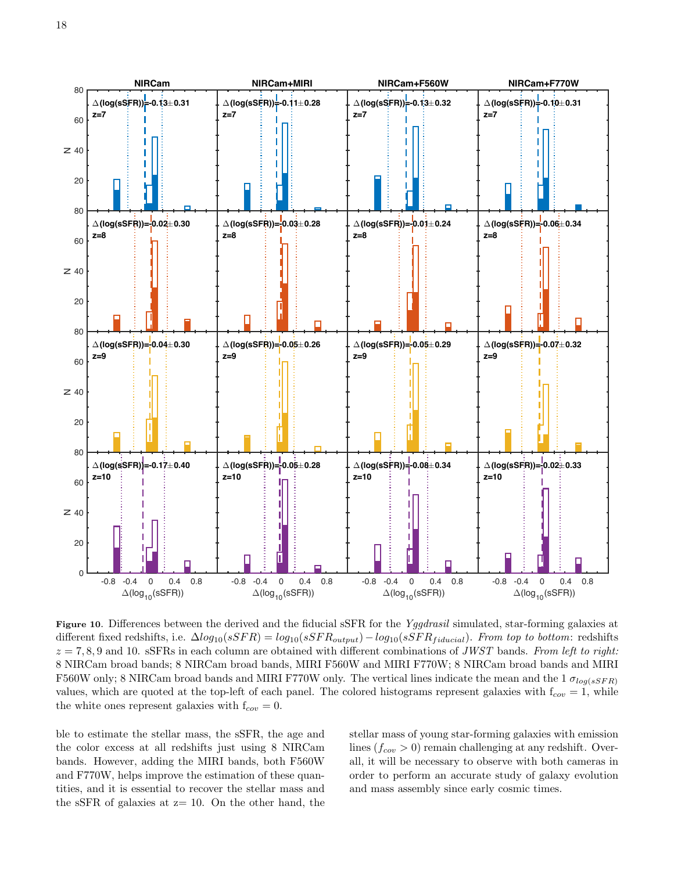

<span id="page-17-0"></span>Figure 10. Differences between the derived and the fiducial sSFR for the Yggdrasil simulated, star-forming galaxies at different fixed redshifts, i.e.  $\Delta log_{10}(sSFR) = log_{10}(sSFR_{output}) - log_{10}(sSFR_{fiducial})$ . From top to bottom: redshifts  $z = 7, 8, 9$  and 10. sSFRs in each column are obtained with different combinations of JWST bands. From left to right: 8 NIRCam broad bands; 8 NIRCam broad bands, MIRI F560W and MIRI F770W; 8 NIRCam broad bands and MIRI F560W only; 8 NIRCam broad bands and MIRI F770W only. The vertical lines indicate the mean and the 1  $\sigma_{log(sSFR)}$ values, which are quoted at the top-left of each panel. The colored histograms represent galaxies with  $f_{cov} = 1$ , while the white ones represent galaxies with  $f_{cov} = 0$ .

ble to estimate the stellar mass, the sSFR, the age and the color excess at all redshifts just using 8 NIRCam bands. However, adding the MIRI bands, both F560W and F770W, helps improve the estimation of these quantities, and it is essential to recover the stellar mass and the sSFR of galaxies at  $z=10$ . On the other hand, the

stellar mass of young star-forming galaxies with emission lines  $(f_{cov} > 0)$  remain challenging at any redshift. Overall, it will be necessary to observe with both cameras in order to perform an accurate study of galaxy evolution and mass assembly since early cosmic times.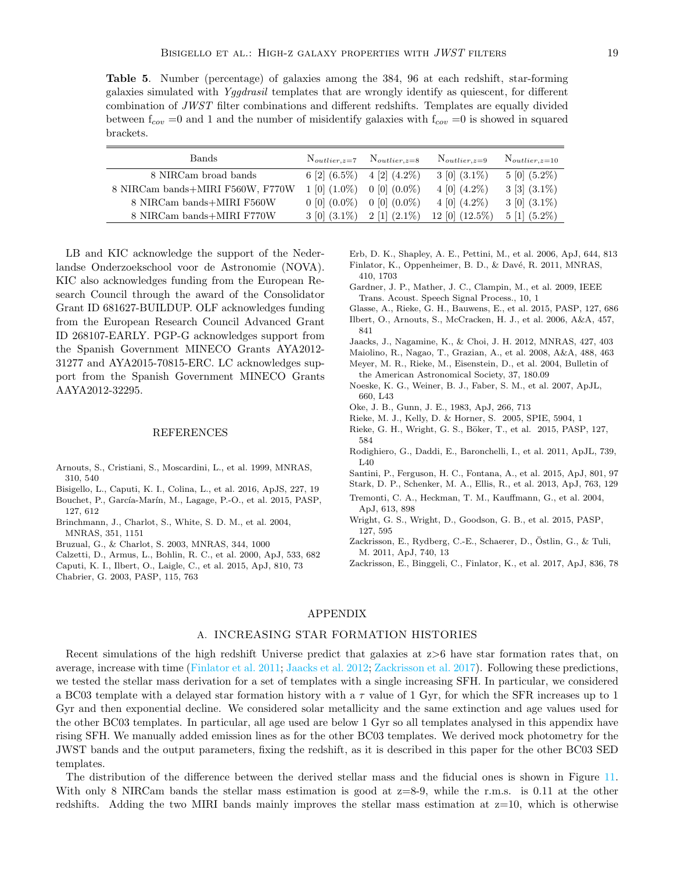<span id="page-18-25"></span>Table 5. Number (percentage) of galaxies among the 384, 96 at each redshift, star-forming galaxies simulated with Yggdrasil templates that are wrongly identify as quiescent, for different combination of JWST filter combinations and different redshifts. Templates are equally divided between  $f_{cov} = 0$  and 1 and the number of misidentify galaxies with  $f_{cov} = 0$  is showed in squared brackets.

| <b>Bands</b>                     |                    | $N_{outlier,z=7}$ $N_{outlier,z=8}$ | $N_{outlier,z=9}$                             | $N_{outlier,z=10}$           |
|----------------------------------|--------------------|-------------------------------------|-----------------------------------------------|------------------------------|
| 8 NIRCam broad bands             |                    | 6 [2] $(6.5\%)$ 4 [2] $(4.2\%)$     | $3\ [0]\ (3.1\%)$                             | $5 \left[ 0 \right] (5.2\%)$ |
| 8 NIRCam bands+MIRI F560W, F770W | $1\;[0]\; (1.0\%)$ | $0$ [0] $(0.0\%)$                   | 4 [0] $(4.2\%)$                               | $3 \; [3] \; (3.1\%)$        |
| 8 NIRCam bands+MIRI F560W        | $0$ [0] $(0.0\%)$  | $0\ [0]\ (0.0\%)$                   | $4\ [0]\ (4.2\%)$                             | $3\ [0]\ (3.1\%)$            |
| 8 NIRCam bands+MIRI F770W        | $3\ [0]\ (3.1\%)$  | $2 \; [1] \; (2.1\%)$               | $12 \begin{bmatrix} 0 \end{bmatrix} (12.5\%)$ | $5 \; [1] \; (5.2\%)$        |

LB and KIC acknowledge the support of the Nederlandse Onderzoekschool voor de Astronomie (NOVA). KIC also acknowledges funding from the European Research Council through the award of the Consolidator Grant ID 681627-BUILDUP. OLF acknowledges funding from the European Research Council Advanced Grant ID 268107-EARLY. PGP-G acknowledges support from the Spanish Government MINECO Grants AYA2012- 31277 and AYA2015-70815-ERC. LC acknowledges support from the Spanish Government MINECO Grants AAYA2012-32295.

### REFERENCES

- <span id="page-18-22"></span>Arnouts, S., Cristiani, S., Moscardini, L., et al. 1999, MNRAS, 310, 540
- <span id="page-18-13"></span>Bisigello, L., Caputi, K. I., Colina, L., et al. 2016, ApJS, 227, 19
- <span id="page-18-20"></span>Bouchet, P., García-Marín, M., Lagage, P.-O., et al. 2015, PASP, 127, 612
- <span id="page-18-0"></span>Brinchmann, J., Charlot, S., White, S. D. M., et al. 2004, MNRAS, 351, 1151
- <span id="page-18-16"></span>Bruzual, G., & Charlot, S. 2003, MNRAS, 344, 1000
- <span id="page-18-24"></span>Calzetti, D., Armus, L., Bohlin, R. C., et al. 2000, ApJ, 533, 682
- <span id="page-18-6"></span>Caputi, K. I., Ilbert, O., Laigle, C., et al. 2015, ApJ, 810, 73
- <span id="page-18-15"></span>Chabrier, G. 2003, PASP, 115, 763
- <span id="page-18-26"></span><span id="page-18-4"></span>Erb, D. K., Shapley, A. E., Pettini, M., et al. 2006, ApJ, 644, 813 Finlator, K., Oppenheimer, B. D., & Davé, R. 2011, MNRAS, 410, 1703
- <span id="page-18-9"></span>Gardner, J. P., Mather, J. C., Clampin, M., et al. 2009, IEEE Trans. Acoust. Speech Signal Process., 10, 1
- <span id="page-18-21"></span>Glasse, A., Rieke, G. H., Bauwens, E., et al. 2015, PASP, 127, 686
- <span id="page-18-23"></span>Ilbert, O., Arnouts, S., McCracken, H. J., et al. 2006, A&A, 457, 841
- <span id="page-18-27"></span>Jaacks, J., Nagamine, K., & Choi, J. H. 2012, MNRAS, 427, 403
- <span id="page-18-19"></span><span id="page-18-5"></span>Maiolino, R., Nagao, T., Grazian, A., et al. 2008, A&A, 488, 463 Meyer, M. R., Rieke, M., Eisenstein, D., et al. 2004, Bulletin of
- <span id="page-18-1"></span>the American Astronomical Society, 37, 180.09 Noeske, K. G., Weiner, B. J., Faber, S. M., et al. 2007, ApJL,
- 660, L43
- <span id="page-18-14"></span><span id="page-18-10"></span>Oke, J. B., Gunn, J. E., 1983, ApJ, 266, 713
- Rieke, M. J., Kelly, D. & Horner, S. 2005, SPIE, 5904, 1
- <span id="page-18-11"></span>Rieke, G. H., Wright, G. S., Böker, T., et al. 2015, PASP, 127, 584
- <span id="page-18-2"></span>Rodighiero, G., Daddi, E., Baronchelli, I., et al. 2011, ApJL, 739, L40
- <span id="page-18-8"></span>Santini, P., Ferguson, H. C., Fontana, A., et al. 2015, ApJ, 801, 97
- <span id="page-18-7"></span>Stark, D. P., Schenker, M. A., Ellis, R., et al. 2013, ApJ, 763, 129
- <span id="page-18-3"></span>Tremonti, C. A., Heckman, T. M., Kauffmann, G., et al. 2004, ApJ, 613, 898
- <span id="page-18-12"></span>Wright, G. S., Wright, D., Goodson, G. B., et al. 2015, PASP, 127, 595
- <span id="page-18-17"></span>Zackrisson, E., Rydberg, C.-E., Schaerer, D., Östlin, G., & Tuli, M. 2011, ApJ, 740, 13
- <span id="page-18-28"></span>Zackrisson, E., Binggeli, C., Finlator, K., et al. 2017, ApJ, 836, 78

#### APPENDIX

## A. INCREASING STAR FORMATION HISTORIES

<span id="page-18-18"></span>Recent simulations of the high redshift Universe predict that galaxies at z>6 have star formation rates that, on average, increase with time [\(Finlator et al.](#page-18-26) [2011;](#page-18-26) [Jaacks et al.](#page-18-27) [2012;](#page-18-27) [Zackrisson et al.](#page-18-28) [2017\)](#page-18-28). Following these predictions, we tested the stellar mass derivation for a set of templates with a single increasing SFH. In particular, we considered a BC03 template with a delayed star formation history with a  $\tau$  value of 1 Gyr, for which the SFR increases up to 1 Gyr and then exponential decline. We considered solar metallicity and the same extinction and age values used for the other BC03 templates. In particular, all age used are below 1 Gyr so all templates analysed in this appendix have rising SFH. We manually added emission lines as for the other BC03 templates. We derived mock photometry for the JWST bands and the output parameters, fixing the redshift, as it is described in this paper for the other BC03 SED templates.

The distribution of the difference between the derived stellar mass and the fiducial ones is shown in Figure [11.](#page-20-0) With only 8 NIRCam bands the stellar mass estimation is good at  $z=8-9$ , while the r.m.s. is 0.11 at the other redshifts. Adding the two MIRI bands mainly improves the stellar mass estimation at  $z=10$ , which is otherwise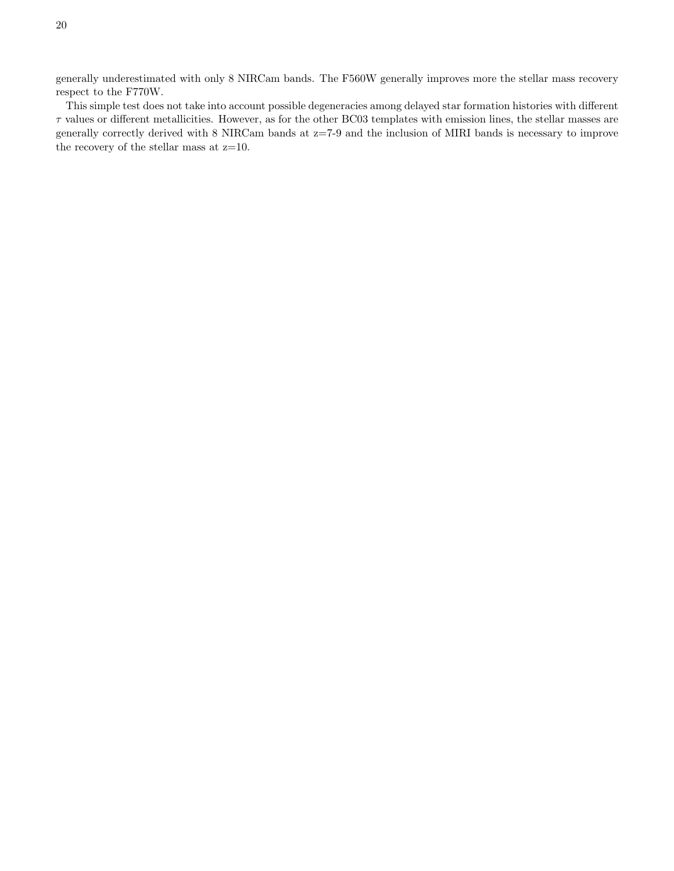generally underestimated with only 8 NIRCam bands. The F560W generally improves more the stellar mass recovery respect to the F770W.

This simple test does not take into account possible degeneracies among delayed star formation histories with different  $\tau$  values or different metallicities. However, as for the other BC03 templates with emission lines, the stellar masses are generally correctly derived with 8 NIRCam bands at z=7-9 and the inclusion of MIRI bands is necessary to improve the recovery of the stellar mass at z=10.